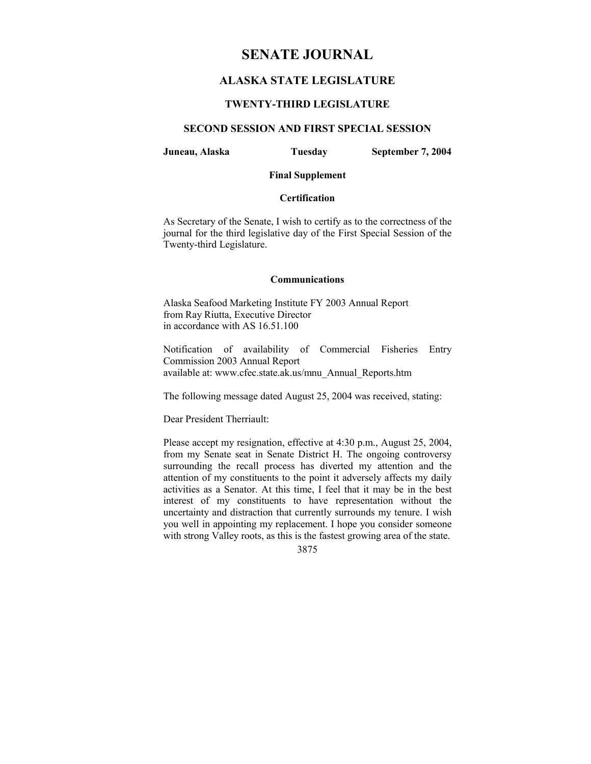## **SENATE JOURNAL**

## **ALASKA STATE LEGISLATURE**

## **TWENTY-THIRD LEGISLATURE**

## **SECOND SESSION AND FIRST SPECIAL SESSION**

**Juneau, Alaska Tuesday September 7, 2004** 

## **Final Supplement**

## **Certification**

As Secretary of the Senate, I wish to certify as to the correctness of the journal for the third legislative day of the First Special Session of the Twenty-third Legislature.

#### **Communications**

Alaska Seafood Marketing Institute FY 2003 Annual Report from Ray Riutta, Executive Director in accordance with AS 16.51.100

Notification of availability of Commercial Fisheries Entry Commission 2003 Annual Report available at: www.cfec.state.ak.us/mnu\_Annual\_Reports.htm

The following message dated August 25, 2004 was received, stating:

Dear President Therriault:

Please accept my resignation, effective at 4:30 p.m., August 25, 2004, from my Senate seat in Senate District H. The ongoing controversy surrounding the recall process has diverted my attention and the attention of my constituents to the point it adversely affects my daily activities as a Senator. At this time, I feel that it may be in the best interest of my constituents to have representation without the uncertainty and distraction that currently surrounds my tenure. I wish you well in appointing my replacement. I hope you consider someone with strong Valley roots, as this is the fastest growing area of the state.

3875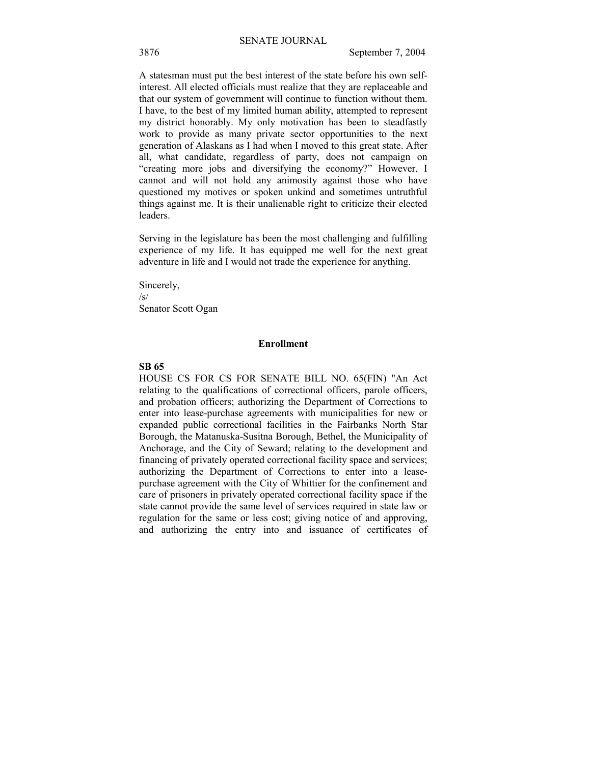A statesman must put the best interest of the state before his own selfinterest. All elected officials must realize that they are replaceable and that our system of government will continue to function without them. I have, to the best of my limited human ability, attempted to represent my district honorably. My only motivation has been to steadfastly work to provide as many private sector opportunities to the next generation of Alaskans as I had when I moved to this great state. After all, what candidate, regardless of party, does not campaign on "creating more jobs and diversifying the economy?" However, I cannot and will not hold any animosity against those who have questioned my motives or spoken unkind and sometimes untruthful things against me. It is their unalienable right to criticize their elected leaders.

Serving in the legislature has been the most challenging and fulfilling experience of my life. It has equipped me well for the next great adventure in life and I would not trade the experience for anything.

Sincerely, /s/ Senator Scott Ogan

## **Enrollment**

#### **SB 65**

HOUSE CS FOR CS FOR SENATE BILL NO. 65(FIN) "An Act relating to the qualifications of correctional officers, parole officers, and probation officers; authorizing the Department of Corrections to enter into lease-purchase agreements with municipalities for new or expanded public correctional facilities in the Fairbanks North Star Borough, the Matanuska-Susitna Borough, Bethel, the Municipality of Anchorage, and the City of Seward; relating to the development and financing of privately operated correctional facility space and services; authorizing the Department of Corrections to enter into a leasepurchase agreement with the City of Whittier for the confinement and care of prisoners in privately operated correctional facility space if the state cannot provide the same level of services required in state law or regulation for the same or less cost; giving notice of and approving, and authorizing the entry into and issuance of certificates of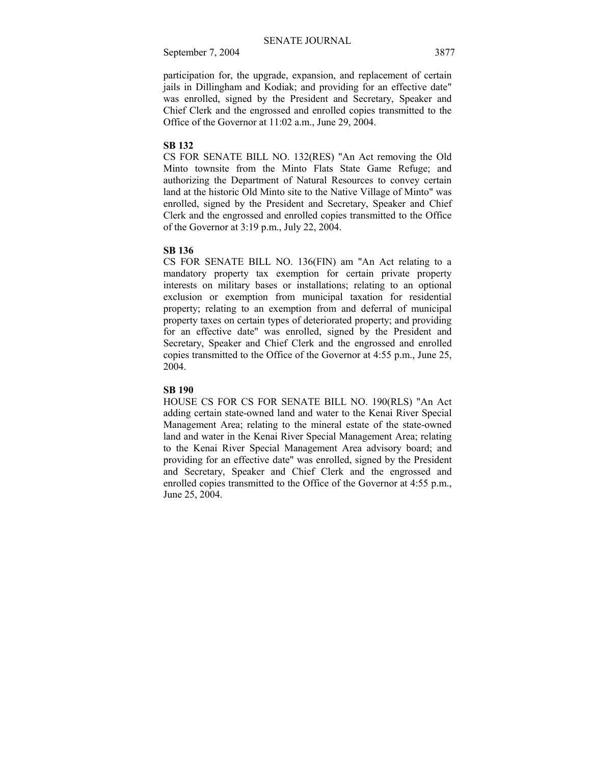participation for, the upgrade, expansion, and replacement of certain jails in Dillingham and Kodiak; and providing for an effective date" was enrolled, signed by the President and Secretary, Speaker and Chief Clerk and the engrossed and enrolled copies transmitted to the Office of the Governor at 11:02 a.m., June 29, 2004.

## **SB 132**

CS FOR SENATE BILL NO. 132(RES) "An Act removing the Old Minto townsite from the Minto Flats State Game Refuge; and authorizing the Department of Natural Resources to convey certain land at the historic Old Minto site to the Native Village of Minto" was enrolled, signed by the President and Secretary, Speaker and Chief Clerk and the engrossed and enrolled copies transmitted to the Office of the Governor at 3:19 p.m., July 22, 2004.

#### **SB 136**

CS FOR SENATE BILL NO. 136(FIN) am "An Act relating to a mandatory property tax exemption for certain private property interests on military bases or installations; relating to an optional exclusion or exemption from municipal taxation for residential property; relating to an exemption from and deferral of municipal property taxes on certain types of deteriorated property; and providing for an effective date" was enrolled, signed by the President and Secretary, Speaker and Chief Clerk and the engrossed and enrolled copies transmitted to the Office of the Governor at 4:55 p.m., June 25, 2004.

#### **SB 190**

HOUSE CS FOR CS FOR SENATE BILL NO. 190(RLS) "An Act adding certain state-owned land and water to the Kenai River Special Management Area; relating to the mineral estate of the state-owned land and water in the Kenai River Special Management Area; relating to the Kenai River Special Management Area advisory board; and providing for an effective date" was enrolled, signed by the President and Secretary, Speaker and Chief Clerk and the engrossed and enrolled copies transmitted to the Office of the Governor at 4:55 p.m., June 25, 2004.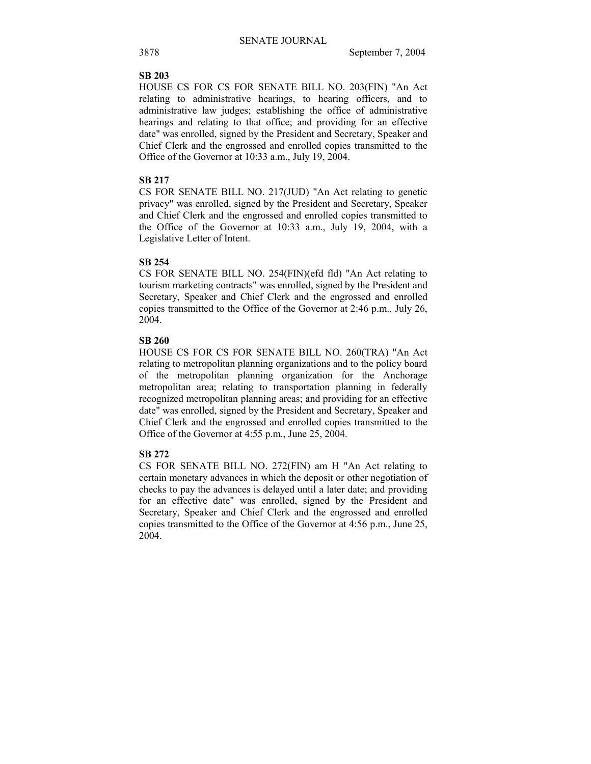## **SB 203**

HOUSE CS FOR CS FOR SENATE BILL NO. 203(FIN) "An Act relating to administrative hearings, to hearing officers, and to administrative law judges; establishing the office of administrative hearings and relating to that office; and providing for an effective date" was enrolled, signed by the President and Secretary, Speaker and Chief Clerk and the engrossed and enrolled copies transmitted to the Office of the Governor at 10:33 a.m., July 19, 2004.

## **SB 217**

CS FOR SENATE BILL NO. 217(JUD) "An Act relating to genetic privacy" was enrolled, signed by the President and Secretary, Speaker and Chief Clerk and the engrossed and enrolled copies transmitted to the Office of the Governor at 10:33 a.m., July 19, 2004, with a Legislative Letter of Intent.

## **SB 254**

CS FOR SENATE BILL NO. 254(FIN)(efd fld) "An Act relating to tourism marketing contracts" was enrolled, signed by the President and Secretary, Speaker and Chief Clerk and the engrossed and enrolled copies transmitted to the Office of the Governor at 2:46 p.m., July 26, 2004.

## **SB 260**

HOUSE CS FOR CS FOR SENATE BILL NO. 260(TRA) "An Act relating to metropolitan planning organizations and to the policy board of the metropolitan planning organization for the Anchorage metropolitan area; relating to transportation planning in federally recognized metropolitan planning areas; and providing for an effective date" was enrolled, signed by the President and Secretary, Speaker and Chief Clerk and the engrossed and enrolled copies transmitted to the Office of the Governor at 4:55 p.m., June 25, 2004.

## **SB 272**

CS FOR SENATE BILL NO. 272(FIN) am H "An Act relating to certain monetary advances in which the deposit or other negotiation of checks to pay the advances is delayed until a later date; and providing for an effective date" was enrolled, signed by the President and Secretary, Speaker and Chief Clerk and the engrossed and enrolled copies transmitted to the Office of the Governor at 4:56 p.m., June 25, 2004.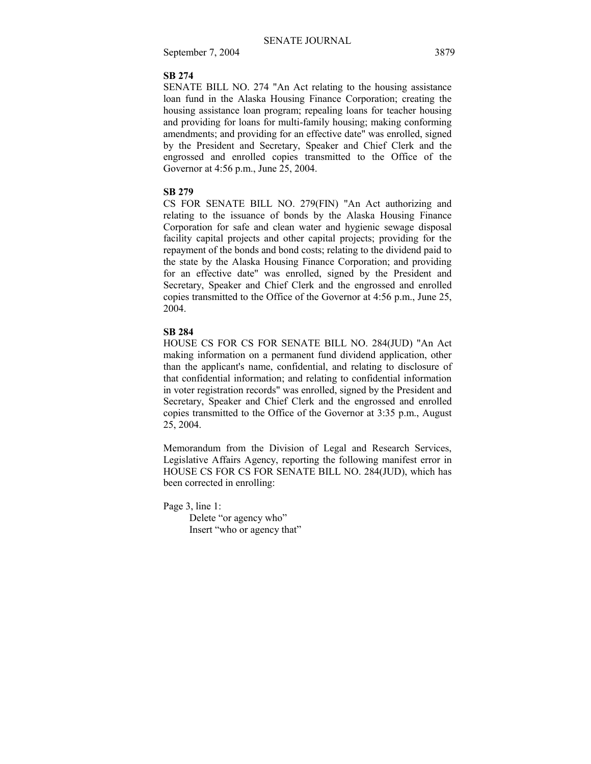#### **SB 274**

SENATE BILL NO. 274 "An Act relating to the housing assistance loan fund in the Alaska Housing Finance Corporation; creating the housing assistance loan program; repealing loans for teacher housing and providing for loans for multi-family housing; making conforming amendments; and providing for an effective date" was enrolled, signed by the President and Secretary, Speaker and Chief Clerk and the engrossed and enrolled copies transmitted to the Office of the Governor at 4:56 p.m., June 25, 2004.

## **SB 279**

CS FOR SENATE BILL NO. 279(FIN) "An Act authorizing and relating to the issuance of bonds by the Alaska Housing Finance Corporation for safe and clean water and hygienic sewage disposal facility capital projects and other capital projects; providing for the repayment of the bonds and bond costs; relating to the dividend paid to the state by the Alaska Housing Finance Corporation; and providing for an effective date" was enrolled, signed by the President and Secretary, Speaker and Chief Clerk and the engrossed and enrolled copies transmitted to the Office of the Governor at 4:56 p.m., June 25, 2004.

#### **SB 284**

HOUSE CS FOR CS FOR SENATE BILL NO. 284(JUD) "An Act making information on a permanent fund dividend application, other than the applicant's name, confidential, and relating to disclosure of that confidential information; and relating to confidential information in voter registration records" was enrolled, signed by the President and Secretary, Speaker and Chief Clerk and the engrossed and enrolled copies transmitted to the Office of the Governor at 3:35 p.m., August 25, 2004.

Memorandum from the Division of Legal and Research Services, Legislative Affairs Agency, reporting the following manifest error in HOUSE CS FOR CS FOR SENATE BILL NO. 284(JUD), which has been corrected in enrolling:

Page 3, line 1:

Delete "or agency who" Insert "who or agency that"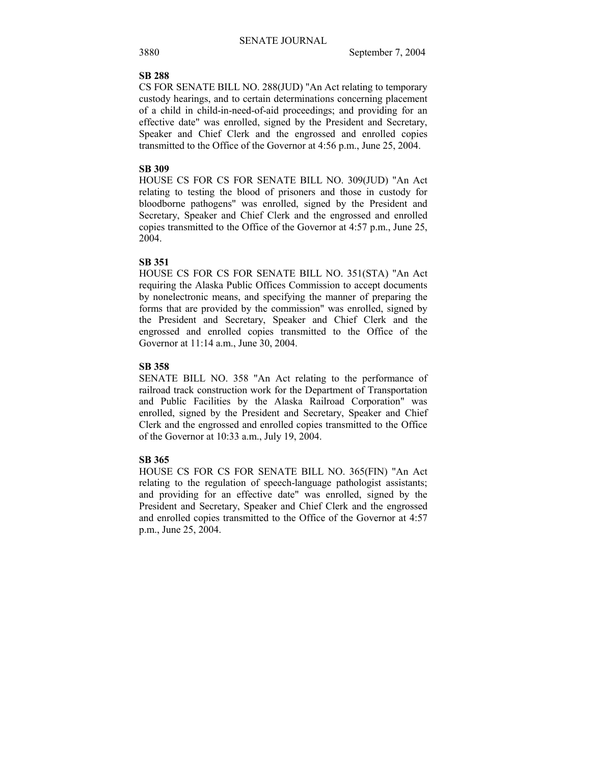## **SB 288**

CS FOR SENATE BILL NO. 288(JUD) "An Act relating to temporary custody hearings, and to certain determinations concerning placement of a child in child-in-need-of-aid proceedings; and providing for an effective date" was enrolled, signed by the President and Secretary, Speaker and Chief Clerk and the engrossed and enrolled copies transmitted to the Office of the Governor at 4:56 p.m., June 25, 2004.

## **SB 309**

HOUSE CS FOR CS FOR SENATE BILL NO. 309(JUD) "An Act relating to testing the blood of prisoners and those in custody for bloodborne pathogens" was enrolled, signed by the President and Secretary, Speaker and Chief Clerk and the engrossed and enrolled copies transmitted to the Office of the Governor at 4:57 p.m., June 25, 2004.

## **SB 351**

HOUSE CS FOR CS FOR SENATE BILL NO. 351(STA) "An Act requiring the Alaska Public Offices Commission to accept documents by nonelectronic means, and specifying the manner of preparing the forms that are provided by the commission" was enrolled, signed by the President and Secretary, Speaker and Chief Clerk and the engrossed and enrolled copies transmitted to the Office of the Governor at 11:14 a.m., June 30, 2004.

## **SB 358**

SENATE BILL NO. 358 "An Act relating to the performance of railroad track construction work for the Department of Transportation and Public Facilities by the Alaska Railroad Corporation" was enrolled, signed by the President and Secretary, Speaker and Chief Clerk and the engrossed and enrolled copies transmitted to the Office of the Governor at 10:33 a.m., July 19, 2004.

## **SB 365**

HOUSE CS FOR CS FOR SENATE BILL NO. 365(FIN) "An Act relating to the regulation of speech-language pathologist assistants; and providing for an effective date" was enrolled, signed by the President and Secretary, Speaker and Chief Clerk and the engrossed and enrolled copies transmitted to the Office of the Governor at 4:57 p.m., June 25, 2004.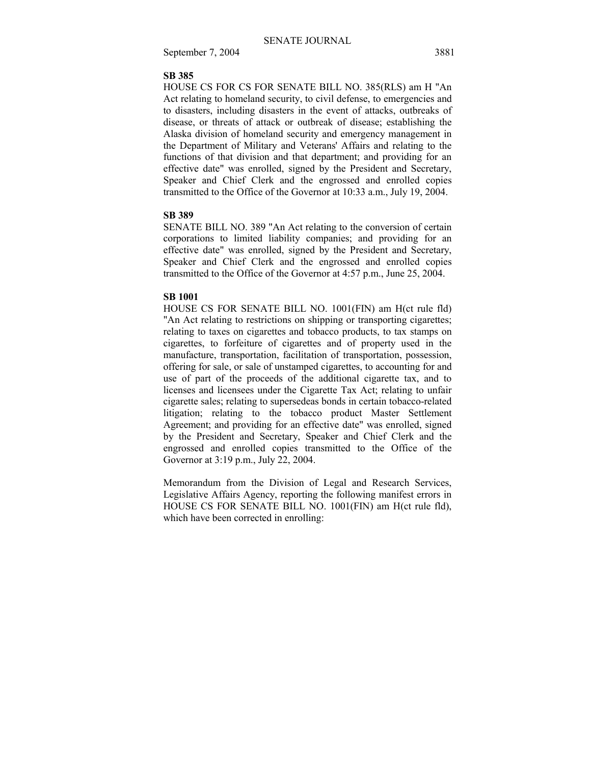#### **SB 385**

HOUSE CS FOR CS FOR SENATE BILL NO. 385(RLS) am H "An Act relating to homeland security, to civil defense, to emergencies and to disasters, including disasters in the event of attacks, outbreaks of disease, or threats of attack or outbreak of disease; establishing the Alaska division of homeland security and emergency management in the Department of Military and Veterans' Affairs and relating to the functions of that division and that department; and providing for an effective date" was enrolled, signed by the President and Secretary, Speaker and Chief Clerk and the engrossed and enrolled copies transmitted to the Office of the Governor at 10:33 a.m., July 19, 2004.

## **SB 389**

SENATE BILL NO. 389 "An Act relating to the conversion of certain corporations to limited liability companies; and providing for an effective date" was enrolled, signed by the President and Secretary, Speaker and Chief Clerk and the engrossed and enrolled copies transmitted to the Office of the Governor at 4:57 p.m., June 25, 2004.

## **SB 1001**

HOUSE CS FOR SENATE BILL NO. 1001(FIN) am H(ct rule fld) "An Act relating to restrictions on shipping or transporting cigarettes; relating to taxes on cigarettes and tobacco products, to tax stamps on cigarettes, to forfeiture of cigarettes and of property used in the manufacture, transportation, facilitation of transportation, possession, offering for sale, or sale of unstamped cigarettes, to accounting for and use of part of the proceeds of the additional cigarette tax, and to licenses and licensees under the Cigarette Tax Act; relating to unfair cigarette sales; relating to supersedeas bonds in certain tobacco-related litigation; relating to the tobacco product Master Settlement Agreement; and providing for an effective date" was enrolled, signed by the President and Secretary, Speaker and Chief Clerk and the engrossed and enrolled copies transmitted to the Office of the Governor at 3:19 p.m., July 22, 2004.

Memorandum from the Division of Legal and Research Services, Legislative Affairs Agency, reporting the following manifest errors in HOUSE CS FOR SENATE BILL NO. 1001(FIN) am H(ct rule fld), which have been corrected in enrolling: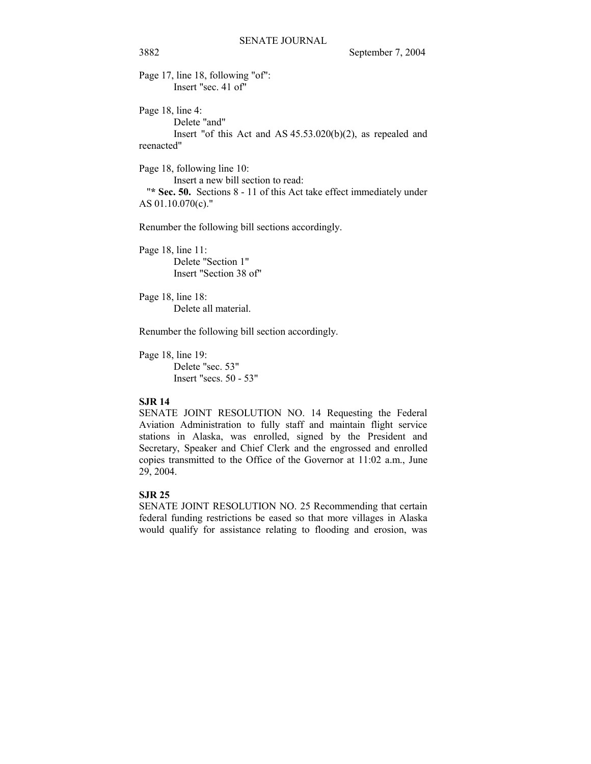Page 17, line 18, following "of": Insert "sec. 41 of"

Page 18, line 4: Delete "and" Insert "of this Act and AS 45.53.020(b)(2), as repealed and reenacted"

Page 18, following line 10: Insert a new bill section to read: "**\* Sec. 50.** Sections 8 - 11 of this Act take effect immediately under AS 01.10.070(c)."

Renumber the following bill sections accordingly.

Page 18, line 11: Delete "Section 1" Insert "Section 38 of"

Page 18, line 18: Delete all material.

Renumber the following bill section accordingly.

Page 18, line 19: Delete "sec. 53" Insert "secs. 50 - 53"

## **SJR 14**

SENATE JOINT RESOLUTION NO. 14 Requesting the Federal Aviation Administration to fully staff and maintain flight service stations in Alaska, was enrolled, signed by the President and Secretary, Speaker and Chief Clerk and the engrossed and enrolled copies transmitted to the Office of the Governor at 11:02 a.m., June 29, 2004.

## **SJR 25**

SENATE JOINT RESOLUTION NO. 25 Recommending that certain federal funding restrictions be eased so that more villages in Alaska would qualify for assistance relating to flooding and erosion, was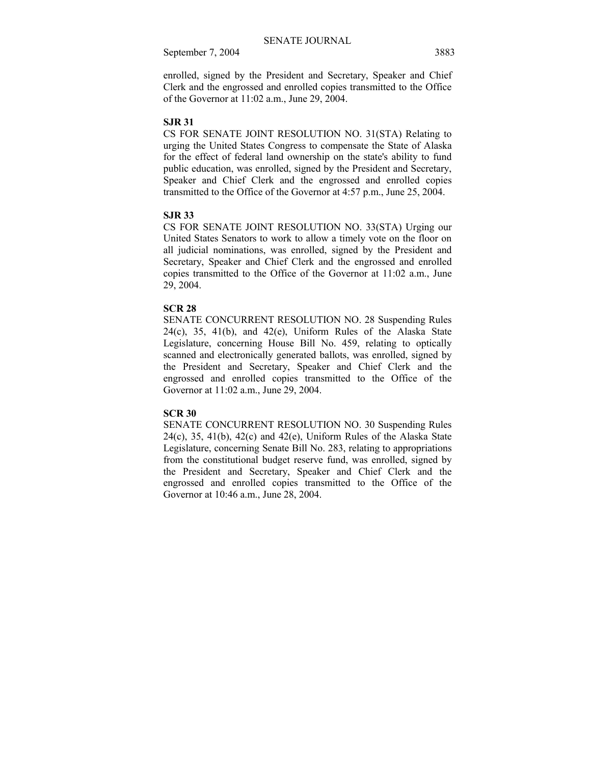enrolled, signed by the President and Secretary, Speaker and Chief Clerk and the engrossed and enrolled copies transmitted to the Office of the Governor at 11:02 a.m., June 29, 2004.

#### **SJR 31**

CS FOR SENATE JOINT RESOLUTION NO. 31(STA) Relating to urging the United States Congress to compensate the State of Alaska for the effect of federal land ownership on the state's ability to fund public education, was enrolled, signed by the President and Secretary, Speaker and Chief Clerk and the engrossed and enrolled copies transmitted to the Office of the Governor at 4:57 p.m., June 25, 2004.

## **SJR 33**

CS FOR SENATE JOINT RESOLUTION NO. 33(STA) Urging our United States Senators to work to allow a timely vote on the floor on all judicial nominations, was enrolled, signed by the President and Secretary, Speaker and Chief Clerk and the engrossed and enrolled copies transmitted to the Office of the Governor at 11:02 a.m., June 29, 2004.

## **SCR 28**

SENATE CONCURRENT RESOLUTION NO. 28 Suspending Rules  $24(c)$ ,  $35$ ,  $41(b)$ , and  $42(e)$ , Uniform Rules of the Alaska State Legislature, concerning House Bill No. 459, relating to optically scanned and electronically generated ballots, was enrolled, signed by the President and Secretary, Speaker and Chief Clerk and the engrossed and enrolled copies transmitted to the Office of the Governor at 11:02 a.m., June 29, 2004.

## **SCR 30**

SENATE CONCURRENT RESOLUTION NO. 30 Suspending Rules  $24(c)$ ,  $35$ ,  $41(b)$ ,  $42(c)$  and  $42(e)$ , Uniform Rules of the Alaska State Legislature, concerning Senate Bill No. 283, relating to appropriations from the constitutional budget reserve fund, was enrolled, signed by the President and Secretary, Speaker and Chief Clerk and the engrossed and enrolled copies transmitted to the Office of the Governor at 10:46 a.m., June 28, 2004.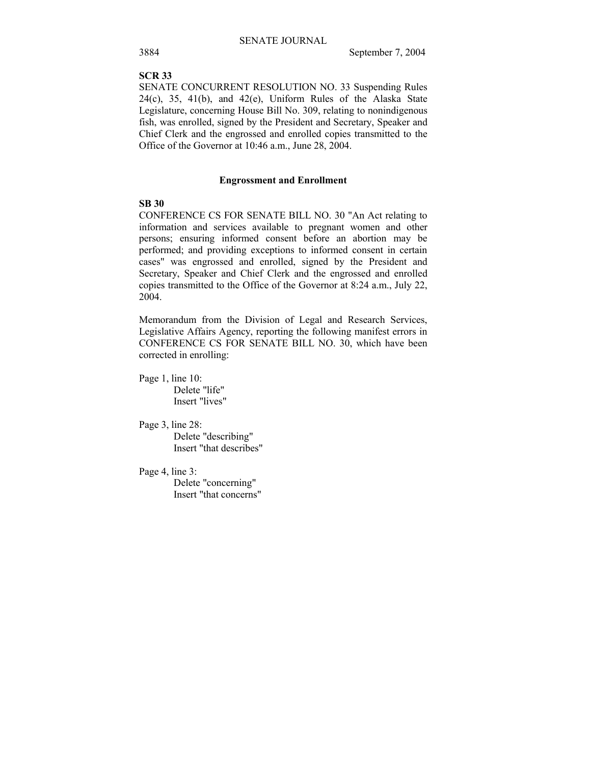#### **SCR 33**

SENATE CONCURRENT RESOLUTION NO. 33 Suspending Rules  $24(c)$ ,  $35$ ,  $41(b)$ , and  $42(e)$ , Uniform Rules of the Alaska State Legislature, concerning House Bill No. 309, relating to nonindigenous fish, was enrolled, signed by the President and Secretary, Speaker and Chief Clerk and the engrossed and enrolled copies transmitted to the Office of the Governor at 10:46 a.m., June 28, 2004.

## **Engrossment and Enrollment**

## **SB 30**

CONFERENCE CS FOR SENATE BILL NO. 30 "An Act relating to information and services available to pregnant women and other persons; ensuring informed consent before an abortion may be performed; and providing exceptions to informed consent in certain cases" was engrossed and enrolled, signed by the President and Secretary, Speaker and Chief Clerk and the engrossed and enrolled copies transmitted to the Office of the Governor at 8:24 a.m., July 22, 2004.

Memorandum from the Division of Legal and Research Services, Legislative Affairs Agency, reporting the following manifest errors in CONFERENCE CS FOR SENATE BILL NO. 30, which have been corrected in enrolling:

Page 1, line 10: Delete "life" Insert "lives"

Page 3, line 28: Delete "describing" Insert "that describes"

Page 4, line 3: Delete "concerning" Insert "that concerns"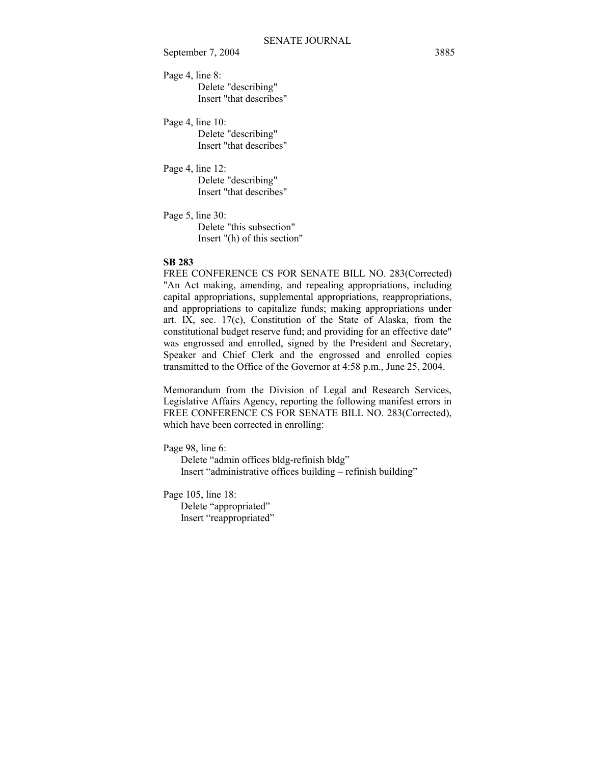Page 4, line 8: Delete "describing" Insert "that describes"

Page 4, line 10: Delete "describing" Insert "that describes"

Page 4, line 12: Delete "describing"

Insert "that describes"

Page 5, line 30: Delete "this subsection" Insert "(h) of this section"

#### **SB 283**

FREE CONFERENCE CS FOR SENATE BILL NO. 283(Corrected) "An Act making, amending, and repealing appropriations, including capital appropriations, supplemental appropriations, reappropriations, and appropriations to capitalize funds; making appropriations under art. IX, sec. 17(c), Constitution of the State of Alaska, from the constitutional budget reserve fund; and providing for an effective date" was engrossed and enrolled, signed by the President and Secretary, Speaker and Chief Clerk and the engrossed and enrolled copies transmitted to the Office of the Governor at 4:58 p.m., June 25, 2004.

Memorandum from the Division of Legal and Research Services, Legislative Affairs Agency, reporting the following manifest errors in FREE CONFERENCE CS FOR SENATE BILL NO. 283(Corrected), which have been corrected in enrolling:

Page 98, line 6:

Delete "admin offices bldg-refinish bldg" Insert "administrative offices building – refinish building"

Page 105, line 18:

Delete "appropriated" Insert "reappropriated"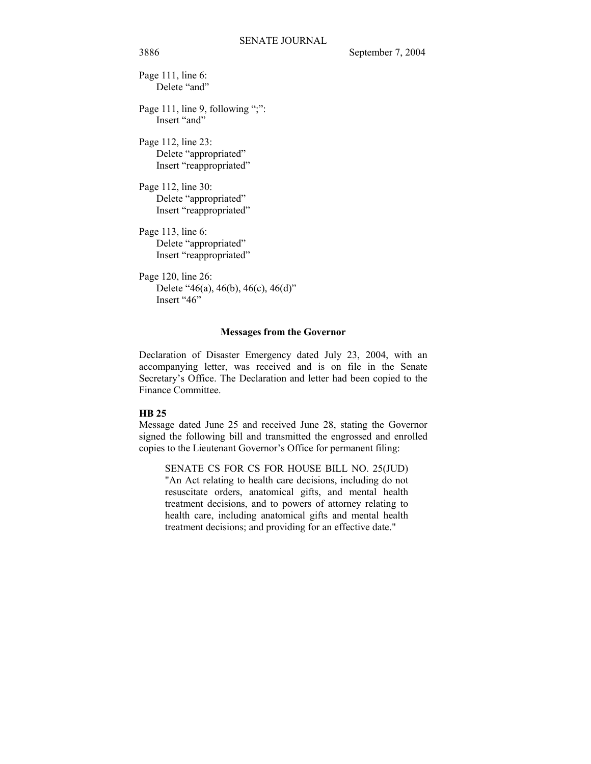Page 111, line 6: Delete "and"

Page 111, line 9, following ";": Insert "and"

Page 112, line 23: Delete "appropriated" Insert "reappropriated"

Page 112, line 30: Delete "appropriated" Insert "reappropriated"

Page 113, line 6: Delete "appropriated" Insert "reappropriated"

Page 120, line 26: Delete "46(a), 46(b), 46(c), 46(d)" Insert "46"

## **Messages from the Governor**

Declaration of Disaster Emergency dated July 23, 2004, with an accompanying letter, was received and is on file in the Senate Secretary's Office. The Declaration and letter had been copied to the Finance Committee.

## **HB 25**

Message dated June 25 and received June 28, stating the Governor signed the following bill and transmitted the engrossed and enrolled copies to the Lieutenant Governor's Office for permanent filing:

SENATE CS FOR CS FOR HOUSE BILL NO. 25(JUD) "An Act relating to health care decisions, including do not resuscitate orders, anatomical gifts, and mental health treatment decisions, and to powers of attorney relating to health care, including anatomical gifts and mental health treatment decisions; and providing for an effective date."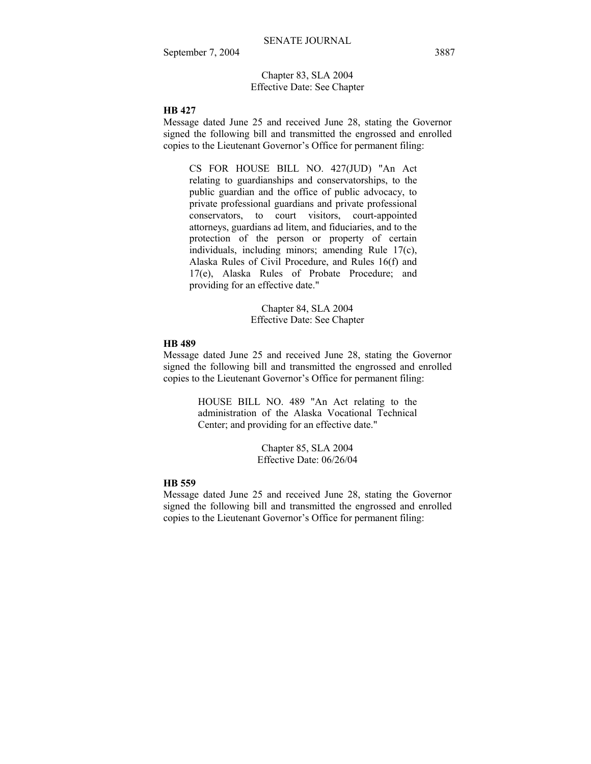Chapter 83, SLA 2004 Effective Date: See Chapter

## **HB 427**

Message dated June 25 and received June 28, stating the Governor signed the following bill and transmitted the engrossed and enrolled copies to the Lieutenant Governor's Office for permanent filing:

CS FOR HOUSE BILL NO. 427(JUD) "An Act relating to guardianships and conservatorships, to the public guardian and the office of public advocacy, to private professional guardians and private professional conservators, to court visitors, court-appointed attorneys, guardians ad litem, and fiduciaries, and to the protection of the person or property of certain individuals, including minors; amending Rule 17(c), Alaska Rules of Civil Procedure, and Rules 16(f) and 17(e), Alaska Rules of Probate Procedure; and providing for an effective date."

> Chapter 84, SLA 2004 Effective Date: See Chapter

#### **HB 489**

Message dated June 25 and received June 28, stating the Governor signed the following bill and transmitted the engrossed and enrolled copies to the Lieutenant Governor's Office for permanent filing:

> HOUSE BILL NO. 489 "An Act relating to the administration of the Alaska Vocational Technical Center; and providing for an effective date."

> > Chapter 85, SLA 2004 Effective Date: 06/26/04

## **HB 559**

Message dated June 25 and received June 28, stating the Governor signed the following bill and transmitted the engrossed and enrolled copies to the Lieutenant Governor's Office for permanent filing: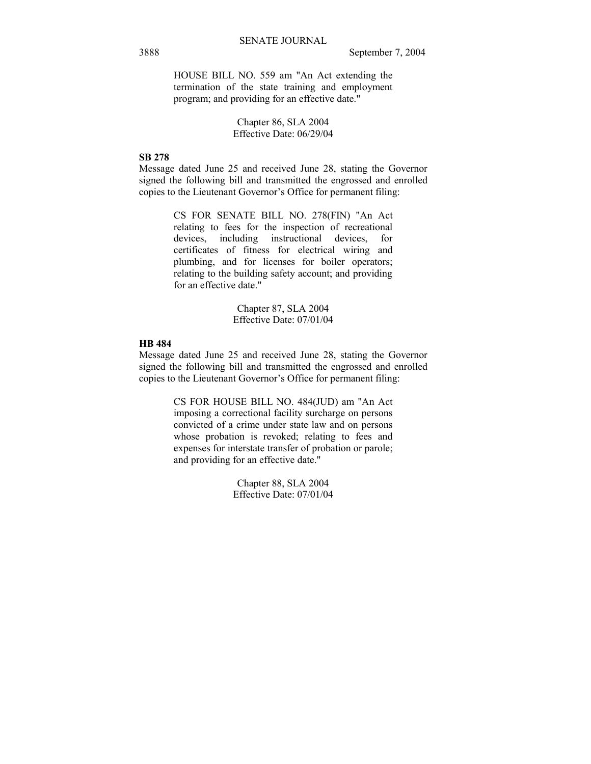HOUSE BILL NO. 559 am "An Act extending the termination of the state training and employment program; and providing for an effective date."

> Chapter 86, SLA 2004 Effective Date: 06/29/04

## **SB 278**

Message dated June 25 and received June 28, stating the Governor signed the following bill and transmitted the engrossed and enrolled copies to the Lieutenant Governor's Office for permanent filing:

> CS FOR SENATE BILL NO. 278(FIN) "An Act relating to fees for the inspection of recreational devices, including instructional devices, for certificates of fitness for electrical wiring and plumbing, and for licenses for boiler operators; relating to the building safety account; and providing for an effective date."

> > Chapter 87, SLA 2004 Effective Date: 07/01/04

#### **HB 484**

Message dated June 25 and received June 28, stating the Governor signed the following bill and transmitted the engrossed and enrolled copies to the Lieutenant Governor's Office for permanent filing:

> CS FOR HOUSE BILL NO. 484(JUD) am "An Act imposing a correctional facility surcharge on persons convicted of a crime under state law and on persons whose probation is revoked; relating to fees and expenses for interstate transfer of probation or parole; and providing for an effective date."

> > Chapter 88, SLA 2004 Effective Date: 07/01/04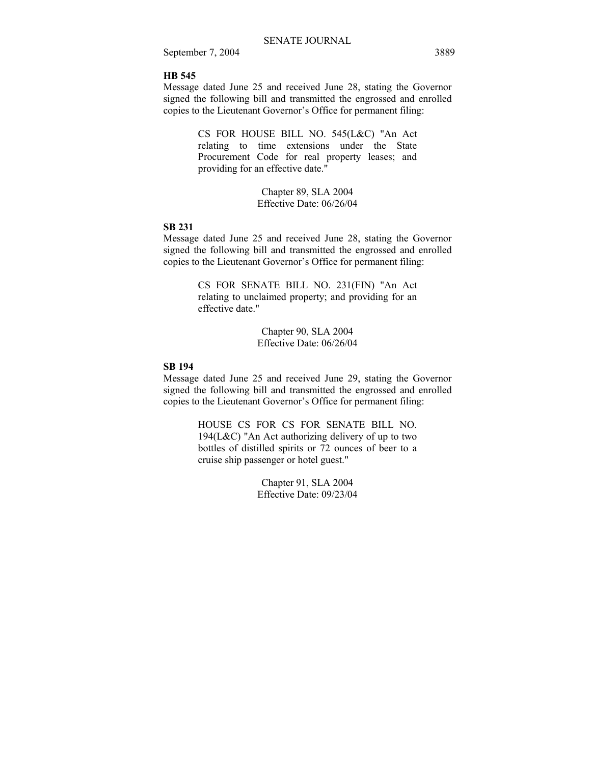#### **HB 545**

Message dated June 25 and received June 28, stating the Governor signed the following bill and transmitted the engrossed and enrolled copies to the Lieutenant Governor's Office for permanent filing:

> CS FOR HOUSE BILL NO. 545(L&C) "An Act relating to time extensions under the State Procurement Code for real property leases; and providing for an effective date."

> > Chapter 89, SLA 2004 Effective Date: 06/26/04

## **SB 231**

Message dated June 25 and received June 28, stating the Governor signed the following bill and transmitted the engrossed and enrolled copies to the Lieutenant Governor's Office for permanent filing:

> CS FOR SENATE BILL NO. 231(FIN) "An Act relating to unclaimed property; and providing for an effective date."

> > Chapter 90, SLA 2004 Effective Date: 06/26/04

## **SB 194**

Message dated June 25 and received June 29, stating the Governor signed the following bill and transmitted the engrossed and enrolled copies to the Lieutenant Governor's Office for permanent filing:

> HOUSE CS FOR CS FOR SENATE BILL NO. 194(L&C) "An Act authorizing delivery of up to two bottles of distilled spirits or 72 ounces of beer to a cruise ship passenger or hotel guest."

> > Chapter 91, SLA 2004 Effective Date: 09/23/04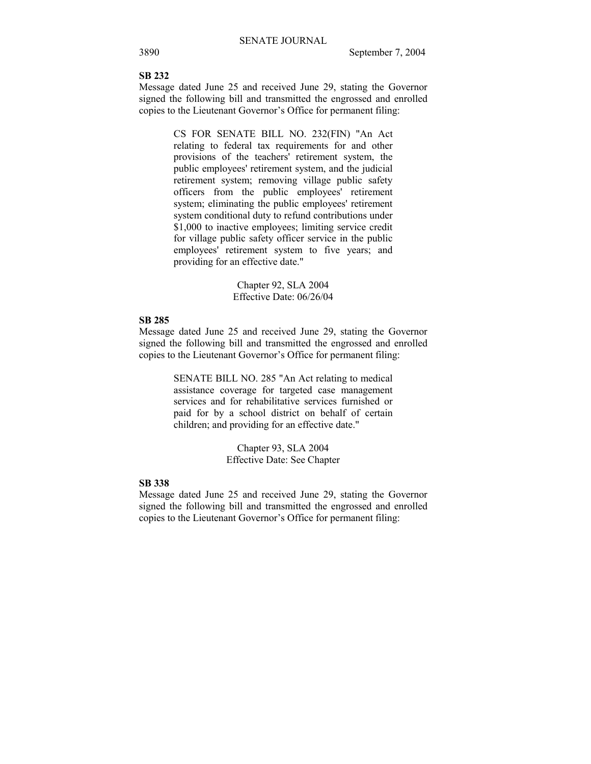# **SB 232**

Message dated June 25 and received June 29, stating the Governor signed the following bill and transmitted the engrossed and enrolled copies to the Lieutenant Governor's Office for permanent filing:

> CS FOR SENATE BILL NO. 232(FIN) "An Act relating to federal tax requirements for and other provisions of the teachers' retirement system, the public employees' retirement system, and the judicial retirement system; removing village public safety officers from the public employees' retirement system; eliminating the public employees' retirement system conditional duty to refund contributions under \$1,000 to inactive employees; limiting service credit for village public safety officer service in the public employees' retirement system to five years; and providing for an effective date."

> > Chapter 92, SLA 2004 Effective Date: 06/26/04

## **SB 285**

Message dated June 25 and received June 29, stating the Governor signed the following bill and transmitted the engrossed and enrolled copies to the Lieutenant Governor's Office for permanent filing:

> SENATE BILL NO. 285 "An Act relating to medical assistance coverage for targeted case management services and for rehabilitative services furnished or paid for by a school district on behalf of certain children; and providing for an effective date."

> > Chapter 93, SLA 2004 Effective Date: See Chapter

## **SB 338**

Message dated June 25 and received June 29, stating the Governor signed the following bill and transmitted the engrossed and enrolled copies to the Lieutenant Governor's Office for permanent filing: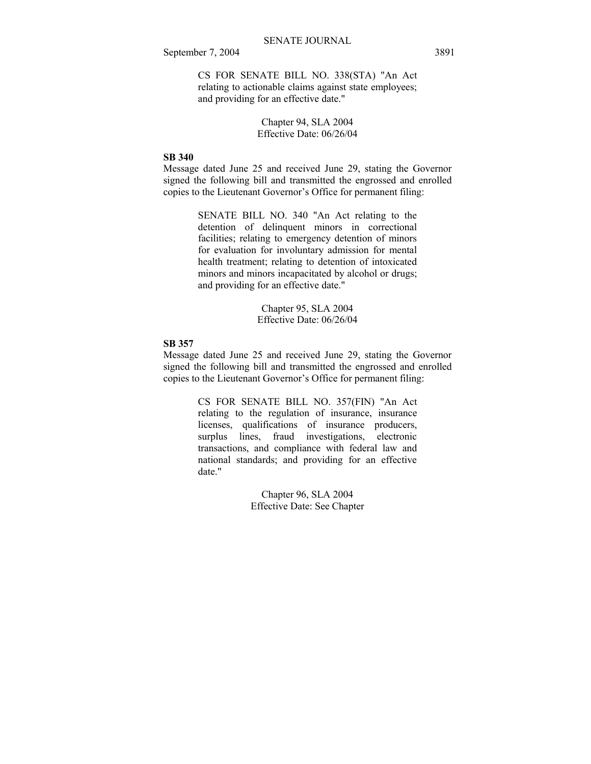CS FOR SENATE BILL NO. 338(STA) "An Act relating to actionable claims against state employees; and providing for an effective date."

> Chapter 94, SLA 2004 Effective Date: 06/26/04

## **SB 340**

Message dated June 25 and received June 29, stating the Governor signed the following bill and transmitted the engrossed and enrolled copies to the Lieutenant Governor's Office for permanent filing:

> SENATE BILL NO. 340 "An Act relating to the detention of delinquent minors in correctional facilities; relating to emergency detention of minors for evaluation for involuntary admission for mental health treatment; relating to detention of intoxicated minors and minors incapacitated by alcohol or drugs; and providing for an effective date."

> > Chapter 95, SLA 2004 Effective Date: 06/26/04

#### **SB 357**

Message dated June 25 and received June 29, stating the Governor signed the following bill and transmitted the engrossed and enrolled copies to the Lieutenant Governor's Office for permanent filing:

> CS FOR SENATE BILL NO. 357(FIN) "An Act relating to the regulation of insurance, insurance licenses, qualifications of insurance producers, surplus lines, fraud investigations, electronic transactions, and compliance with federal law and national standards; and providing for an effective date."

> > Chapter 96, SLA 2004 Effective Date: See Chapter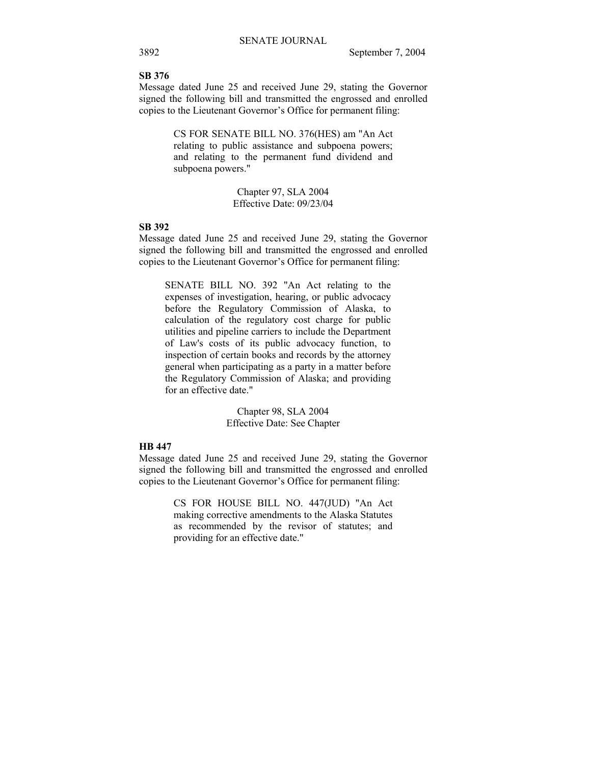#### **SB 376**

Message dated June 25 and received June 29, stating the Governor signed the following bill and transmitted the engrossed and enrolled copies to the Lieutenant Governor's Office for permanent filing:

> CS FOR SENATE BILL NO. 376(HES) am "An Act relating to public assistance and subpoena powers; and relating to the permanent fund dividend and subpoena powers."

> > Chapter 97, SLA 2004 Effective Date: 09/23/04

## **SB 392**

Message dated June 25 and received June 29, stating the Governor signed the following bill and transmitted the engrossed and enrolled copies to the Lieutenant Governor's Office for permanent filing:

SENATE BILL NO. 392 "An Act relating to the expenses of investigation, hearing, or public advocacy before the Regulatory Commission of Alaska, to calculation of the regulatory cost charge for public utilities and pipeline carriers to include the Department of Law's costs of its public advocacy function, to inspection of certain books and records by the attorney general when participating as a party in a matter before the Regulatory Commission of Alaska; and providing for an effective date."

> Chapter 98, SLA 2004 Effective Date: See Chapter

## **HB 447**

Message dated June 25 and received June 29, stating the Governor signed the following bill and transmitted the engrossed and enrolled copies to the Lieutenant Governor's Office for permanent filing:

> CS FOR HOUSE BILL NO. 447(JUD) "An Act making corrective amendments to the Alaska Statutes as recommended by the revisor of statutes; and providing for an effective date."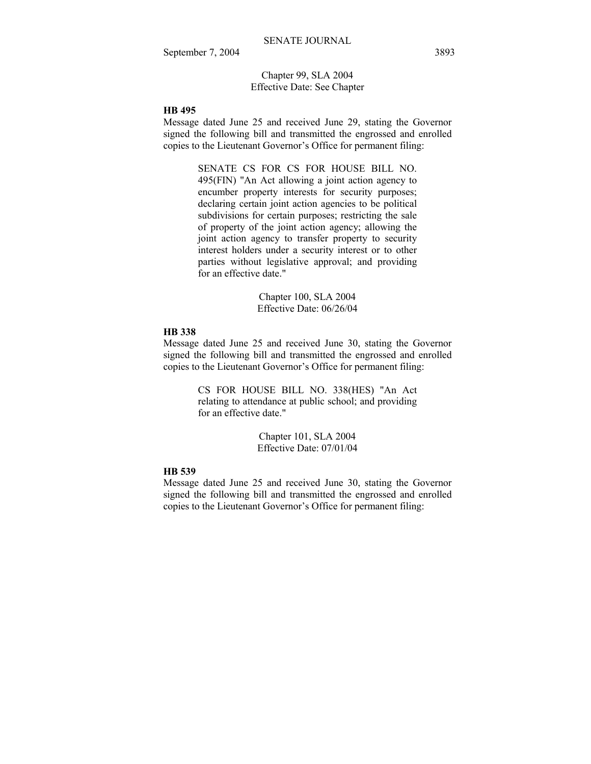Chapter 99, SLA 2004 Effective Date: See Chapter

## **HB 495**

Message dated June 25 and received June 29, stating the Governor signed the following bill and transmitted the engrossed and enrolled copies to the Lieutenant Governor's Office for permanent filing:

> SENATE CS FOR CS FOR HOUSE BILL NO. 495(FIN) "An Act allowing a joint action agency to encumber property interests for security purposes; declaring certain joint action agencies to be political subdivisions for certain purposes; restricting the sale of property of the joint action agency; allowing the joint action agency to transfer property to security interest holders under a security interest or to other parties without legislative approval; and providing for an effective date."

> > Chapter 100, SLA 2004 Effective Date: 06/26/04

## **HB 338**

Message dated June 25 and received June 30, stating the Governor signed the following bill and transmitted the engrossed and enrolled copies to the Lieutenant Governor's Office for permanent filing:

> CS FOR HOUSE BILL NO. 338(HES) "An Act relating to attendance at public school; and providing for an effective date."

> > Chapter 101, SLA 2004 Effective Date: 07/01/04

### **HB 539**

Message dated June 25 and received June 30, stating the Governor signed the following bill and transmitted the engrossed and enrolled copies to the Lieutenant Governor's Office for permanent filing: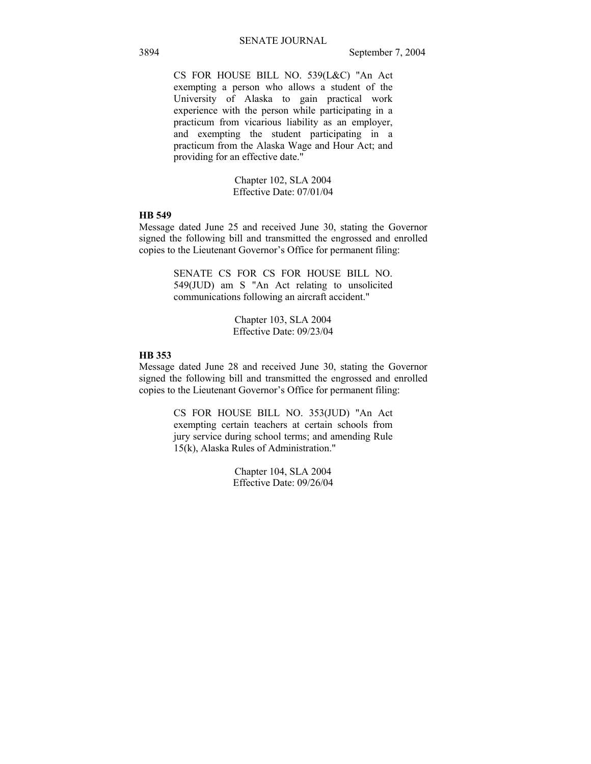CS FOR HOUSE BILL NO. 539(L&C) "An Act exempting a person who allows a student of the University of Alaska to gain practical work experience with the person while participating in a practicum from vicarious liability as an employer, and exempting the student participating in a practicum from the Alaska Wage and Hour Act; and providing for an effective date."

> Chapter 102, SLA 2004 Effective Date: 07/01/04

## **HB 549**

Message dated June 25 and received June 30, stating the Governor signed the following bill and transmitted the engrossed and enrolled copies to the Lieutenant Governor's Office for permanent filing:

> SENATE CS FOR CS FOR HOUSE BILL NO. 549(JUD) am S "An Act relating to unsolicited communications following an aircraft accident."

> > Chapter 103, SLA 2004 Effective Date: 09/23/04

## **HB 353**

Message dated June 28 and received June 30, stating the Governor signed the following bill and transmitted the engrossed and enrolled copies to the Lieutenant Governor's Office for permanent filing:

> CS FOR HOUSE BILL NO. 353(JUD) "An Act exempting certain teachers at certain schools from jury service during school terms; and amending Rule 15(k), Alaska Rules of Administration."

> > Chapter 104, SLA 2004 Effective Date: 09/26/04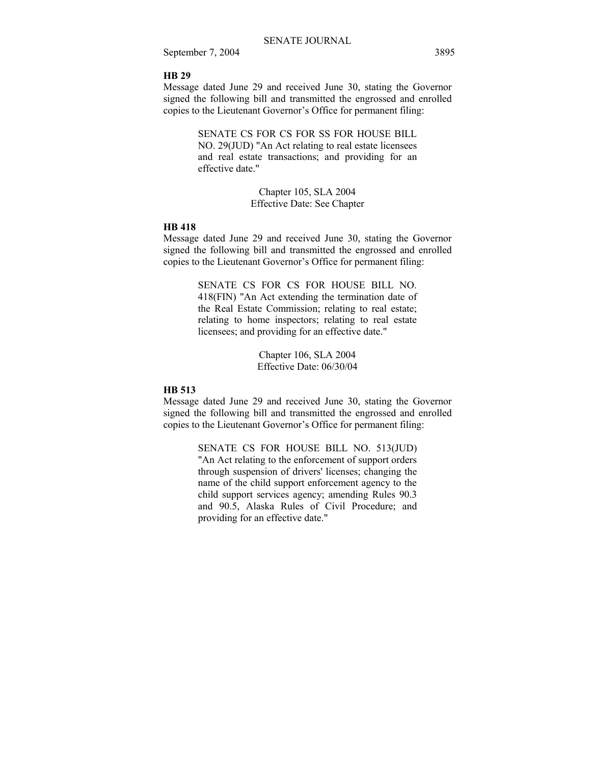## **HB 29**

Message dated June 29 and received June 30, stating the Governor signed the following bill and transmitted the engrossed and enrolled copies to the Lieutenant Governor's Office for permanent filing:

> SENATE CS FOR CS FOR SS FOR HOUSE BILL NO. 29(JUD) "An Act relating to real estate licensees and real estate transactions; and providing for an effective date."

> > Chapter 105, SLA 2004 Effective Date: See Chapter

#### **HB 418**

Message dated June 29 and received June 30, stating the Governor signed the following bill and transmitted the engrossed and enrolled copies to the Lieutenant Governor's Office for permanent filing:

> SENATE CS FOR CS FOR HOUSE BILL NO. 418(FIN) "An Act extending the termination date of the Real Estate Commission; relating to real estate; relating to home inspectors; relating to real estate licensees; and providing for an effective date."

> > Chapter 106, SLA 2004 Effective Date: 06/30/04

#### **HB 513**

Message dated June 29 and received June 30, stating the Governor signed the following bill and transmitted the engrossed and enrolled copies to the Lieutenant Governor's Office for permanent filing:

> SENATE CS FOR HOUSE BILL NO. 513(JUD) "An Act relating to the enforcement of support orders through suspension of drivers' licenses; changing the name of the child support enforcement agency to the child support services agency; amending Rules 90.3 and 90.5, Alaska Rules of Civil Procedure; and providing for an effective date."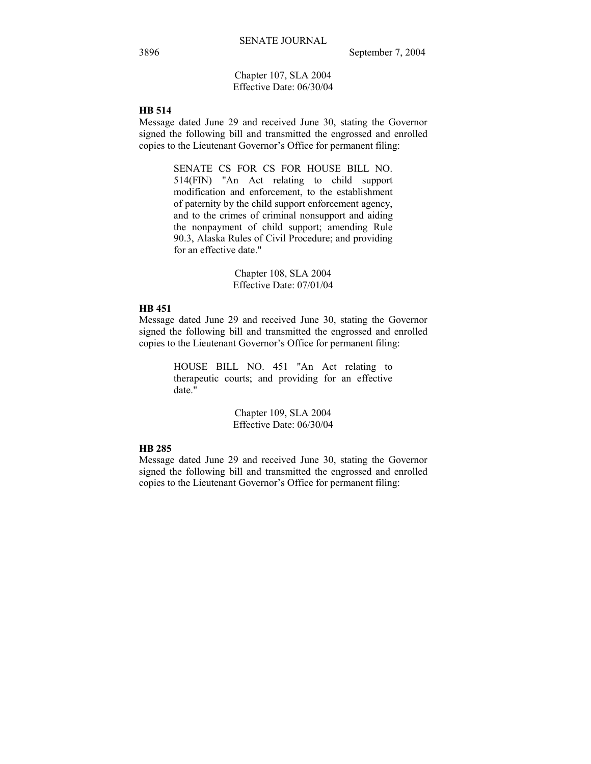## Chapter 107, SLA 2004 Effective Date: 06/30/04

## **HB 514**

Message dated June 29 and received June 30, stating the Governor signed the following bill and transmitted the engrossed and enrolled copies to the Lieutenant Governor's Office for permanent filing:

> SENATE CS FOR CS FOR HOUSE BILL NO. 514(FIN) "An Act relating to child support modification and enforcement, to the establishment of paternity by the child support enforcement agency, and to the crimes of criminal nonsupport and aiding the nonpayment of child support; amending Rule 90.3, Alaska Rules of Civil Procedure; and providing for an effective date."

> > Chapter 108, SLA 2004 Effective Date: 07/01/04

#### **HB 451**

Message dated June 29 and received June 30, stating the Governor signed the following bill and transmitted the engrossed and enrolled copies to the Lieutenant Governor's Office for permanent filing:

> HOUSE BILL NO. 451 "An Act relating to therapeutic courts; and providing for an effective date."

> > Chapter 109, SLA 2004 Effective Date: 06/30/04

## **HB 285**

Message dated June 29 and received June 30, stating the Governor signed the following bill and transmitted the engrossed and enrolled copies to the Lieutenant Governor's Office for permanent filing: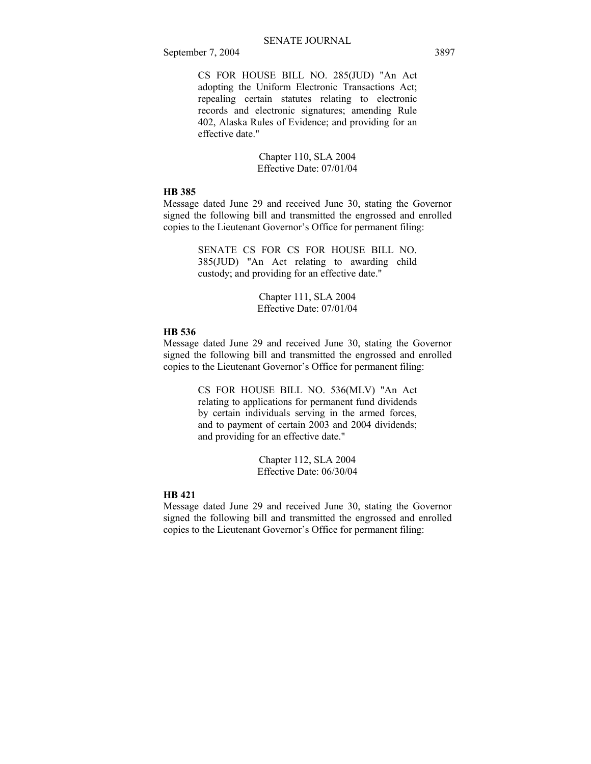CS FOR HOUSE BILL NO. 285(JUD) "An Act adopting the Uniform Electronic Transactions Act; repealing certain statutes relating to electronic records and electronic signatures; amending Rule 402, Alaska Rules of Evidence; and providing for an effective date."

## Chapter 110, SLA 2004 Effective Date: 07/01/04

## **HB 385**

Message dated June 29 and received June 30, stating the Governor signed the following bill and transmitted the engrossed and enrolled copies to the Lieutenant Governor's Office for permanent filing:

> SENATE CS FOR CS FOR HOUSE BILL NO. 385(JUD) "An Act relating to awarding child custody; and providing for an effective date."

> > Chapter 111, SLA 2004 Effective Date: 07/01/04

## **HB 536**

Message dated June 29 and received June 30, stating the Governor signed the following bill and transmitted the engrossed and enrolled copies to the Lieutenant Governor's Office for permanent filing:

> CS FOR HOUSE BILL NO. 536(MLV) "An Act relating to applications for permanent fund dividends by certain individuals serving in the armed forces, and to payment of certain 2003 and 2004 dividends; and providing for an effective date."

> > Chapter 112, SLA 2004 Effective Date: 06/30/04

## **HB 421**

Message dated June 29 and received June 30, stating the Governor signed the following bill and transmitted the engrossed and enrolled copies to the Lieutenant Governor's Office for permanent filing: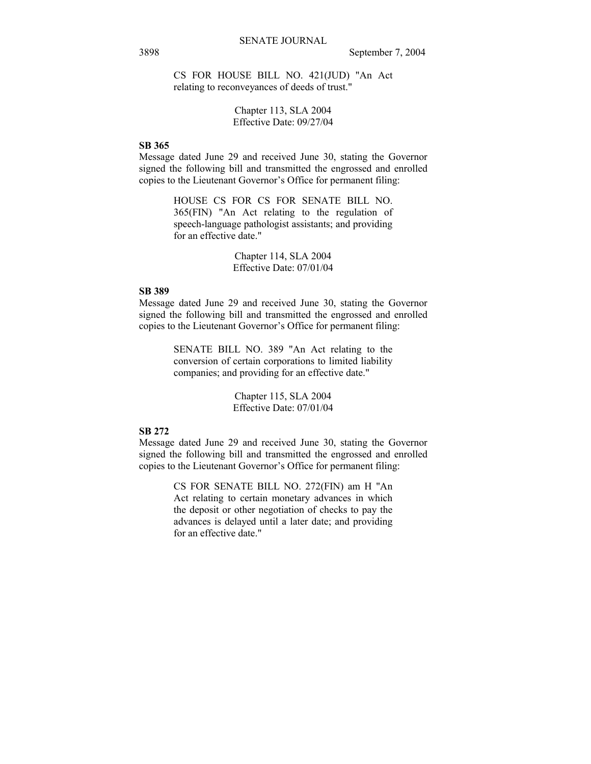CS FOR HOUSE BILL NO. 421(JUD) "An Act relating to reconveyances of deeds of trust."

## Chapter 113, SLA 2004 Effective Date: 09/27/04

## **SB 365**

Message dated June 29 and received June 30, stating the Governor signed the following bill and transmitted the engrossed and enrolled copies to the Lieutenant Governor's Office for permanent filing:

> HOUSE CS FOR CS FOR SENATE BILL NO. 365(FIN) "An Act relating to the regulation of speech-language pathologist assistants; and providing for an effective date."

> > Chapter 114, SLA 2004 Effective Date: 07/01/04

## **SB 389**

Message dated June 29 and received June 30, stating the Governor signed the following bill and transmitted the engrossed and enrolled copies to the Lieutenant Governor's Office for permanent filing:

> SENATE BILL NO. 389 "An Act relating to the conversion of certain corporations to limited liability companies; and providing for an effective date."

> > Chapter 115, SLA 2004 Effective Date: 07/01/04

#### **SB 272**

Message dated June 29 and received June 30, stating the Governor signed the following bill and transmitted the engrossed and enrolled copies to the Lieutenant Governor's Office for permanent filing:

> CS FOR SENATE BILL NO. 272(FIN) am H "An Act relating to certain monetary advances in which the deposit or other negotiation of checks to pay the advances is delayed until a later date; and providing for an effective date."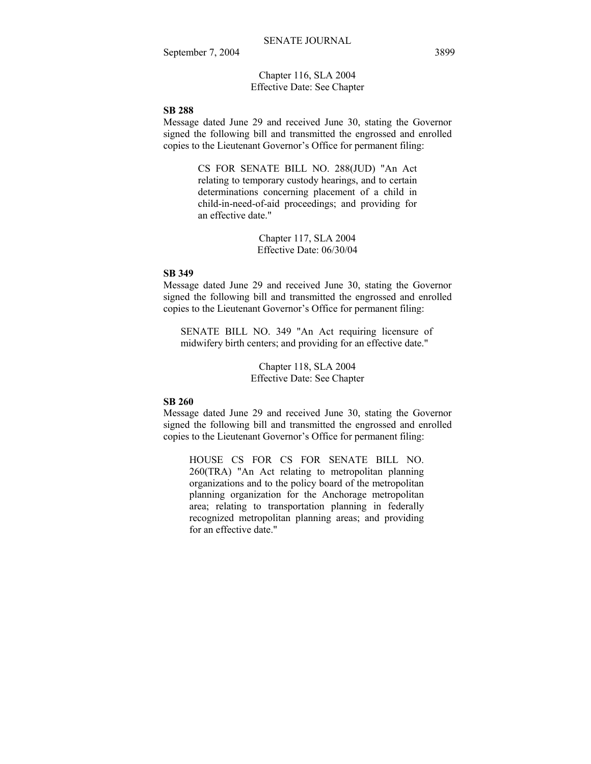Chapter 116, SLA 2004 Effective Date: See Chapter

## **SB 288**

Message dated June 29 and received June 30, stating the Governor signed the following bill and transmitted the engrossed and enrolled copies to the Lieutenant Governor's Office for permanent filing:

> CS FOR SENATE BILL NO. 288(JUD) "An Act relating to temporary custody hearings, and to certain determinations concerning placement of a child in child-in-need-of-aid proceedings; and providing for an effective date."

> > Chapter 117, SLA 2004 Effective Date: 06/30/04

## **SB 349**

Message dated June 29 and received June 30, stating the Governor signed the following bill and transmitted the engrossed and enrolled copies to the Lieutenant Governor's Office for permanent filing:

SENATE BILL NO. 349 "An Act requiring licensure of midwifery birth centers; and providing for an effective date."

> Chapter 118, SLA 2004 Effective Date: See Chapter

## **SB 260**

Message dated June 29 and received June 30, stating the Governor signed the following bill and transmitted the engrossed and enrolled copies to the Lieutenant Governor's Office for permanent filing:

HOUSE CS FOR CS FOR SENATE BILL NO. 260(TRA) "An Act relating to metropolitan planning organizations and to the policy board of the metropolitan planning organization for the Anchorage metropolitan area; relating to transportation planning in federally recognized metropolitan planning areas; and providing for an effective date."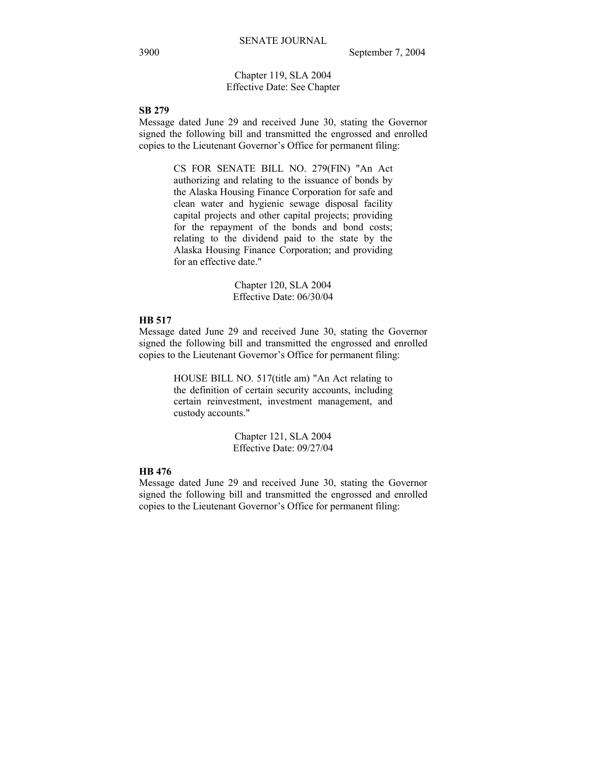## Chapter 119, SLA 2004 Effective Date: See Chapter

## **SB 279**

Message dated June 29 and received June 30, stating the Governor signed the following bill and transmitted the engrossed and enrolled copies to the Lieutenant Governor's Office for permanent filing:

> CS FOR SENATE BILL NO. 279(FIN) "An Act authorizing and relating to the issuance of bonds by the Alaska Housing Finance Corporation for safe and clean water and hygienic sewage disposal facility capital projects and other capital projects; providing for the repayment of the bonds and bond costs; relating to the dividend paid to the state by the Alaska Housing Finance Corporation; and providing for an effective date."

> > Chapter 120, SLA 2004 Effective Date: 06/30/04

## **HB 517**

Message dated June 29 and received June 30, stating the Governor signed the following bill and transmitted the engrossed and enrolled copies to the Lieutenant Governor's Office for permanent filing:

> HOUSE BILL NO. 517(title am) "An Act relating to the definition of certain security accounts, including certain reinvestment, investment management, and custody accounts."

> > Chapter 121, SLA 2004 Effective Date: 09/27/04

## **HB 476**

Message dated June 29 and received June 30, stating the Governor signed the following bill and transmitted the engrossed and enrolled copies to the Lieutenant Governor's Office for permanent filing: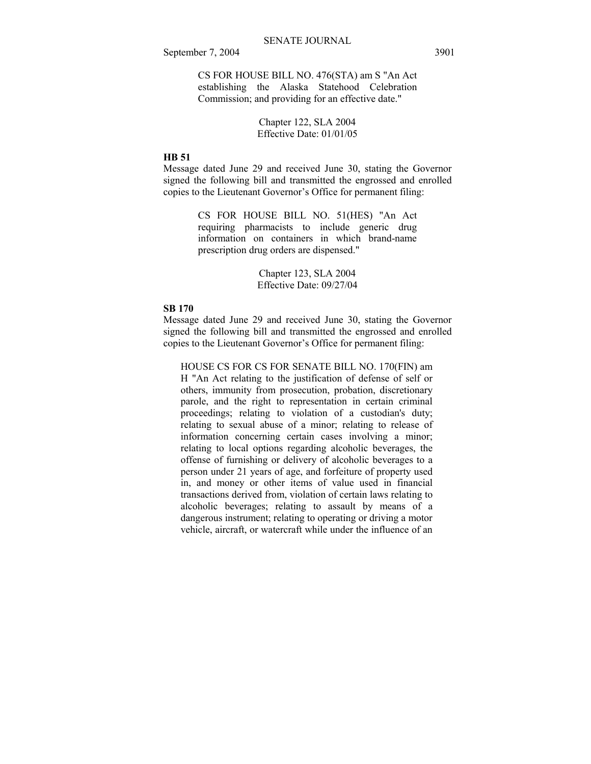CS FOR HOUSE BILL NO. 476(STA) am S "An Act establishing the Alaska Statehood Celebration Commission; and providing for an effective date."

## Chapter 122, SLA 2004 Effective Date: 01/01/05

## **HB 51**

Message dated June 29 and received June 30, stating the Governor signed the following bill and transmitted the engrossed and enrolled copies to the Lieutenant Governor's Office for permanent filing:

> CS FOR HOUSE BILL NO. 51(HES) "An Act requiring pharmacists to include generic drug information on containers in which brand-name prescription drug orders are dispensed."

> > Chapter 123, SLA 2004 Effective Date: 09/27/04

## **SB 170**

Message dated June 29 and received June 30, stating the Governor signed the following bill and transmitted the engrossed and enrolled copies to the Lieutenant Governor's Office for permanent filing:

HOUSE CS FOR CS FOR SENATE BILL NO. 170(FIN) am H "An Act relating to the justification of defense of self or others, immunity from prosecution, probation, discretionary parole, and the right to representation in certain criminal proceedings; relating to violation of a custodian's duty; relating to sexual abuse of a minor; relating to release of information concerning certain cases involving a minor; relating to local options regarding alcoholic beverages, the offense of furnishing or delivery of alcoholic beverages to a person under 21 years of age, and forfeiture of property used in, and money or other items of value used in financial transactions derived from, violation of certain laws relating to alcoholic beverages; relating to assault by means of a dangerous instrument; relating to operating or driving a motor vehicle, aircraft, or watercraft while under the influence of an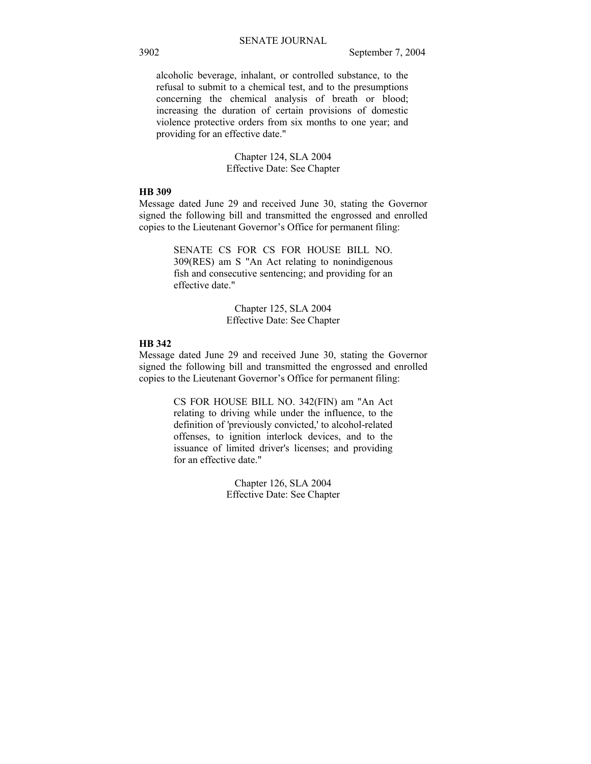alcoholic beverage, inhalant, or controlled substance, to the refusal to submit to a chemical test, and to the presumptions concerning the chemical analysis of breath or blood; increasing the duration of certain provisions of domestic violence protective orders from six months to one year; and providing for an effective date."

> Chapter 124, SLA 2004 Effective Date: See Chapter

## **HB 309**

Message dated June 29 and received June 30, stating the Governor signed the following bill and transmitted the engrossed and enrolled copies to the Lieutenant Governor's Office for permanent filing:

> SENATE CS FOR CS FOR HOUSE BILL NO. 309(RES) am S "An Act relating to nonindigenous fish and consecutive sentencing; and providing for an effective date."

> > Chapter 125, SLA 2004 Effective Date: See Chapter

#### **HB 342**

Message dated June 29 and received June 30, stating the Governor signed the following bill and transmitted the engrossed and enrolled copies to the Lieutenant Governor's Office for permanent filing:

> CS FOR HOUSE BILL NO. 342(FIN) am "An Act relating to driving while under the influence, to the definition of 'previously convicted,' to alcohol-related offenses, to ignition interlock devices, and to the issuance of limited driver's licenses; and providing for an effective date."

> > Chapter 126, SLA 2004 Effective Date: See Chapter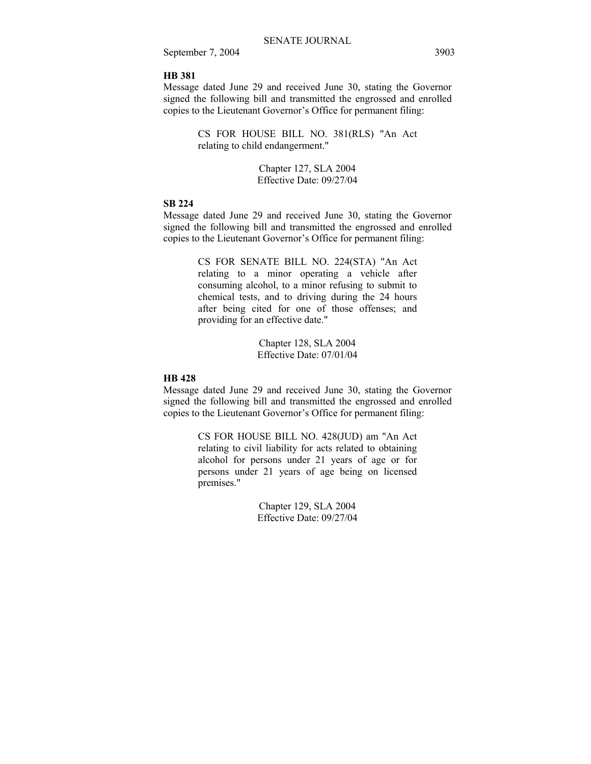## **HB 381**

Message dated June 29 and received June 30, stating the Governor signed the following bill and transmitted the engrossed and enrolled copies to the Lieutenant Governor's Office for permanent filing:

> CS FOR HOUSE BILL NO. 381(RLS) "An Act relating to child endangerment."

> > Chapter 127, SLA 2004 Effective Date: 09/27/04

## **SB 224**

Message dated June 29 and received June 30, stating the Governor signed the following bill and transmitted the engrossed and enrolled copies to the Lieutenant Governor's Office for permanent filing:

> CS FOR SENATE BILL NO. 224(STA) "An Act relating to a minor operating a vehicle after consuming alcohol, to a minor refusing to submit to chemical tests, and to driving during the 24 hours after being cited for one of those offenses; and providing for an effective date."

> > Chapter 128, SLA 2004 Effective Date: 07/01/04

## **HB 428**

Message dated June 29 and received June 30, stating the Governor signed the following bill and transmitted the engrossed and enrolled copies to the Lieutenant Governor's Office for permanent filing:

> CS FOR HOUSE BILL NO. 428(JUD) am "An Act relating to civil liability for acts related to obtaining alcohol for persons under 21 years of age or for persons under 21 years of age being on licensed premises."

> > Chapter 129, SLA 2004 Effective Date: 09/27/04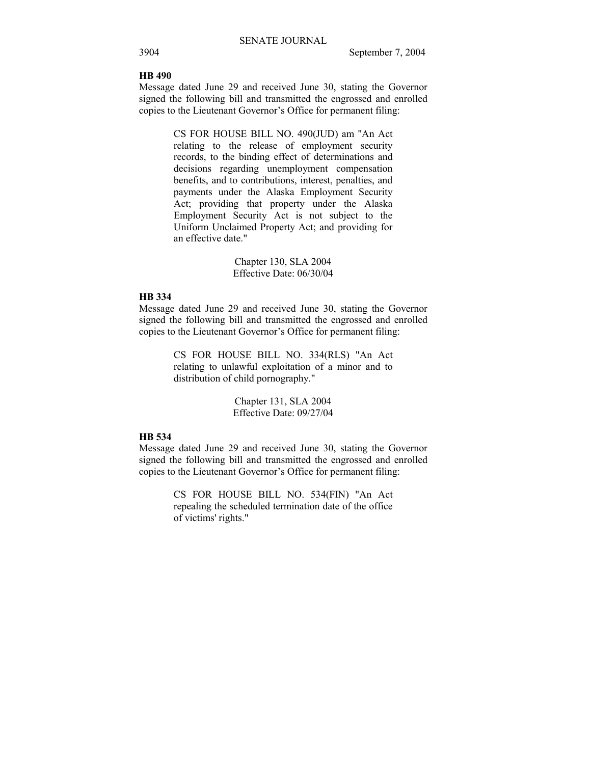## **HB 490**

Message dated June 29 and received June 30, stating the Governor signed the following bill and transmitted the engrossed and enrolled copies to the Lieutenant Governor's Office for permanent filing:

> CS FOR HOUSE BILL NO. 490(JUD) am "An Act relating to the release of employment security records, to the binding effect of determinations and decisions regarding unemployment compensation benefits, and to contributions, interest, penalties, and payments under the Alaska Employment Security Act; providing that property under the Alaska Employment Security Act is not subject to the Uniform Unclaimed Property Act; and providing for an effective date."

> > Chapter 130, SLA 2004 Effective Date: 06/30/04

## **HB 334**

Message dated June 29 and received June 30, stating the Governor signed the following bill and transmitted the engrossed and enrolled copies to the Lieutenant Governor's Office for permanent filing:

> CS FOR HOUSE BILL NO. 334(RLS) "An Act relating to unlawful exploitation of a minor and to distribution of child pornography."

> > Chapter 131, SLA 2004 Effective Date: 09/27/04

## **HB 534**

Message dated June 29 and received June 30, stating the Governor signed the following bill and transmitted the engrossed and enrolled copies to the Lieutenant Governor's Office for permanent filing:

> CS FOR HOUSE BILL NO. 534(FIN) "An Act repealing the scheduled termination date of the office of victims' rights."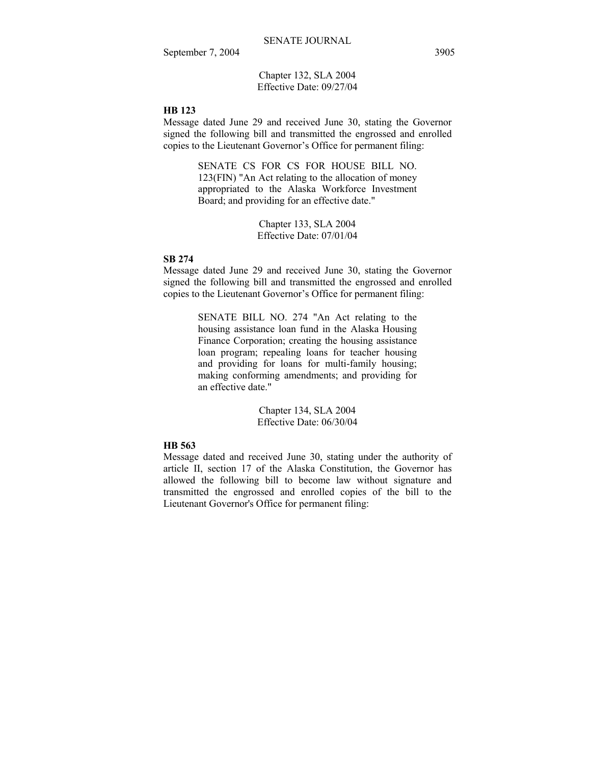Chapter 132, SLA 2004 Effective Date: 09/27/04

## **HB 123**

Message dated June 29 and received June 30, stating the Governor signed the following bill and transmitted the engrossed and enrolled copies to the Lieutenant Governor's Office for permanent filing:

> SENATE CS FOR CS FOR HOUSE BILL NO. 123(FIN) "An Act relating to the allocation of money appropriated to the Alaska Workforce Investment Board; and providing for an effective date."

> > Chapter 133, SLA 2004 Effective Date: 07/01/04

## **SB 274**

Message dated June 29 and received June 30, stating the Governor signed the following bill and transmitted the engrossed and enrolled copies to the Lieutenant Governor's Office for permanent filing:

> SENATE BILL NO. 274 "An Act relating to the housing assistance loan fund in the Alaska Housing Finance Corporation; creating the housing assistance loan program; repealing loans for teacher housing and providing for loans for multi-family housing; making conforming amendments; and providing for an effective date."

> > Chapter 134, SLA 2004 Effective Date: 06/30/04

## **HB 563**

Message dated and received June 30, stating under the authority of article II, section 17 of the Alaska Constitution, the Governor has allowed the following bill to become law without signature and transmitted the engrossed and enrolled copies of the bill to the Lieutenant Governor's Office for permanent filing: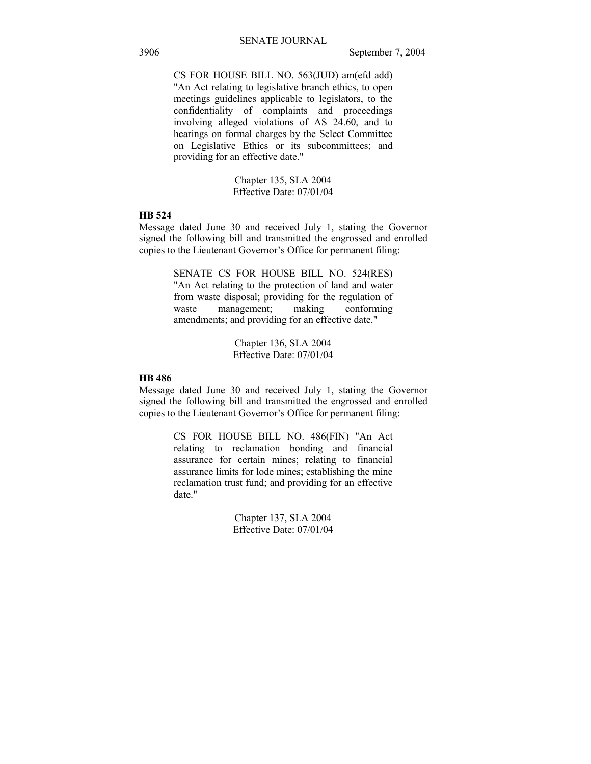CS FOR HOUSE BILL NO. 563(JUD) am(efd add) "An Act relating to legislative branch ethics, to open meetings guidelines applicable to legislators, to the confidentiality of complaints and proceedings involving alleged violations of AS 24.60, and to hearings on formal charges by the Select Committee on Legislative Ethics or its subcommittees; and providing for an effective date."

> Chapter 135, SLA 2004 Effective Date: 07/01/04

## **HB 524**

Message dated June 30 and received July 1, stating the Governor signed the following bill and transmitted the engrossed and enrolled copies to the Lieutenant Governor's Office for permanent filing:

> SENATE CS FOR HOUSE BILL NO. 524(RES) "An Act relating to the protection of land and water from waste disposal; providing for the regulation of waste management; making conforming amendments; and providing for an effective date."

> > Chapter 136, SLA 2004 Effective Date: 07/01/04

## **HB 486**

Message dated June 30 and received July 1, stating the Governor signed the following bill and transmitted the engrossed and enrolled copies to the Lieutenant Governor's Office for permanent filing:

> CS FOR HOUSE BILL NO. 486(FIN) "An Act relating to reclamation bonding and financial assurance for certain mines; relating to financial assurance limits for lode mines; establishing the mine reclamation trust fund; and providing for an effective date."

> > Chapter 137, SLA 2004 Effective Date: 07/01/04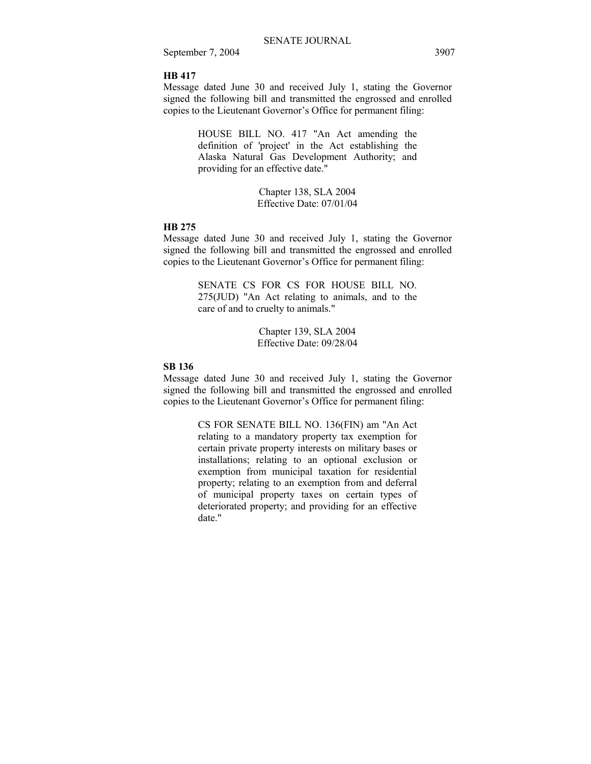### **HB 417**

Message dated June 30 and received July 1, stating the Governor signed the following bill and transmitted the engrossed and enrolled copies to the Lieutenant Governor's Office for permanent filing:

> HOUSE BILL NO. 417 "An Act amending the definition of 'project' in the Act establishing the Alaska Natural Gas Development Authority; and providing for an effective date."

> > Chapter 138, SLA 2004 Effective Date: 07/01/04

#### **HB 275**

Message dated June 30 and received July 1, stating the Governor signed the following bill and transmitted the engrossed and enrolled copies to the Lieutenant Governor's Office for permanent filing:

> SENATE CS FOR CS FOR HOUSE BILL NO. 275(JUD) "An Act relating to animals, and to the care of and to cruelty to animals."

> > Chapter 139, SLA 2004 Effective Date: 09/28/04

## **SB 136**

Message dated June 30 and received July 1, stating the Governor signed the following bill and transmitted the engrossed and enrolled copies to the Lieutenant Governor's Office for permanent filing:

> CS FOR SENATE BILL NO. 136(FIN) am "An Act relating to a mandatory property tax exemption for certain private property interests on military bases or installations; relating to an optional exclusion or exemption from municipal taxation for residential property; relating to an exemption from and deferral of municipal property taxes on certain types of deteriorated property; and providing for an effective date."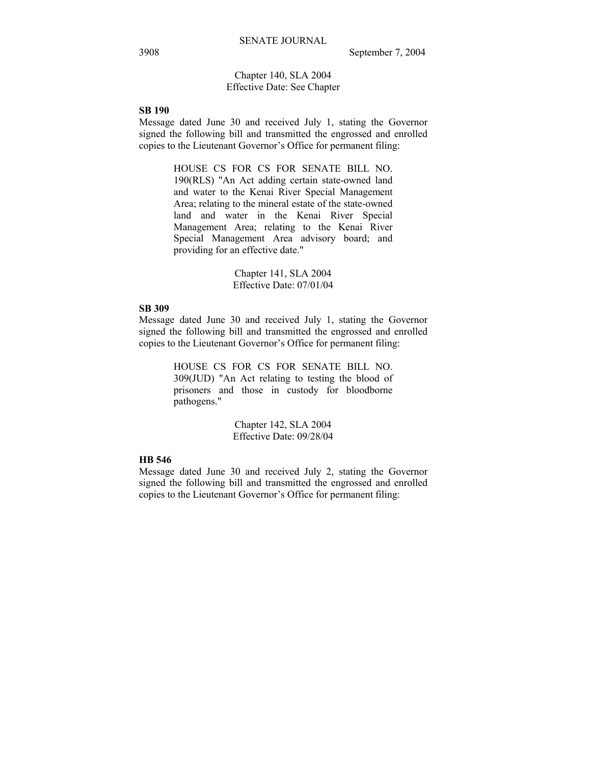## Chapter 140, SLA 2004 Effective Date: See Chapter

## **SB 190**

Message dated June 30 and received July 1, stating the Governor signed the following bill and transmitted the engrossed and enrolled copies to the Lieutenant Governor's Office for permanent filing:

> HOUSE CS FOR CS FOR SENATE BILL NO. 190(RLS) "An Act adding certain state-owned land and water to the Kenai River Special Management Area; relating to the mineral estate of the state-owned land and water in the Kenai River Special Management Area; relating to the Kenai River Special Management Area advisory board; and providing for an effective date."

> > Chapter 141, SLA 2004 Effective Date: 07/01/04

#### **SB 309**

Message dated June 30 and received July 1, stating the Governor signed the following bill and transmitted the engrossed and enrolled copies to the Lieutenant Governor's Office for permanent filing:

> HOUSE CS FOR CS FOR SENATE BILL NO. 309(JUD) "An Act relating to testing the blood of prisoners and those in custody for bloodborne pathogens."

> > Chapter 142, SLA 2004 Effective Date: 09/28/04

## **HB 546**

Message dated June 30 and received July 2, stating the Governor signed the following bill and transmitted the engrossed and enrolled copies to the Lieutenant Governor's Office for permanent filing: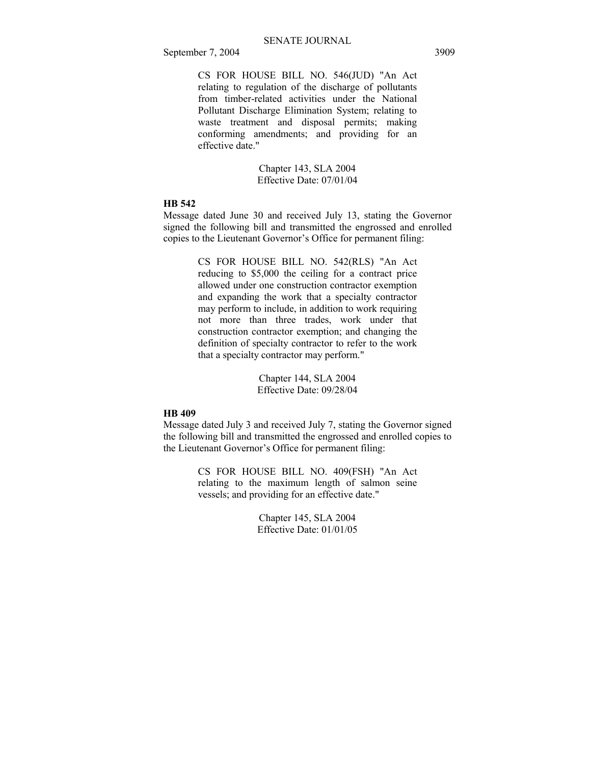CS FOR HOUSE BILL NO. 546(JUD) "An Act relating to regulation of the discharge of pollutants from timber-related activities under the National Pollutant Discharge Elimination System; relating to waste treatment and disposal permits; making conforming amendments; and providing for an effective date."

> Chapter 143, SLA 2004 Effective Date: 07/01/04

## **HB 542**

Message dated June 30 and received July 13, stating the Governor signed the following bill and transmitted the engrossed and enrolled copies to the Lieutenant Governor's Office for permanent filing:

> CS FOR HOUSE BILL NO. 542(RLS) "An Act reducing to \$5,000 the ceiling for a contract price allowed under one construction contractor exemption and expanding the work that a specialty contractor may perform to include, in addition to work requiring not more than three trades, work under that construction contractor exemption; and changing the definition of specialty contractor to refer to the work that a specialty contractor may perform."

> > Chapter 144, SLA 2004 Effective Date: 09/28/04

## **HB 409**

Message dated July 3 and received July 7, stating the Governor signed the following bill and transmitted the engrossed and enrolled copies to the Lieutenant Governor's Office for permanent filing:

> CS FOR HOUSE BILL NO. 409(FSH) "An Act relating to the maximum length of salmon seine vessels; and providing for an effective date."

> > Chapter 145, SLA 2004 Effective Date: 01/01/05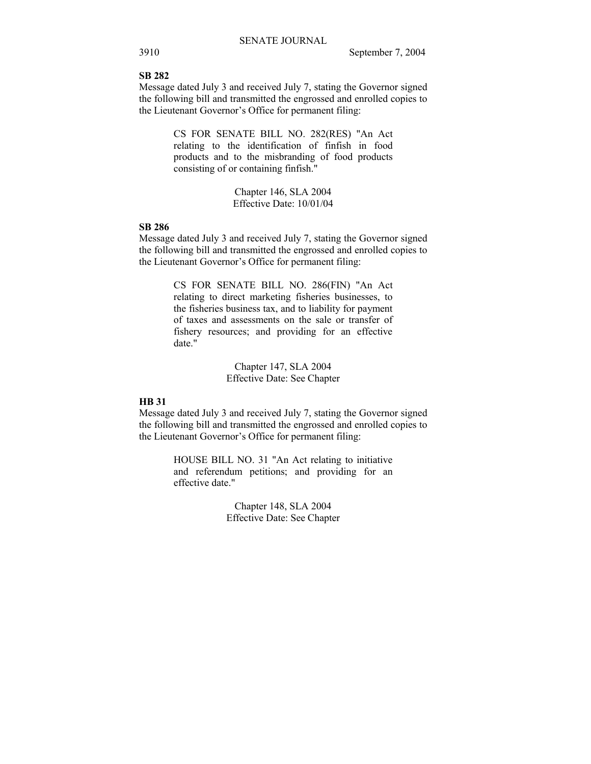#### **SB 282**

Message dated July 3 and received July 7, stating the Governor signed the following bill and transmitted the engrossed and enrolled copies to the Lieutenant Governor's Office for permanent filing:

> CS FOR SENATE BILL NO. 282(RES) "An Act relating to the identification of finfish in food products and to the misbranding of food products consisting of or containing finfish."

> > Chapter 146, SLA 2004 Effective Date: 10/01/04

## **SB 286**

Message dated July 3 and received July 7, stating the Governor signed the following bill and transmitted the engrossed and enrolled copies to the Lieutenant Governor's Office for permanent filing:

> CS FOR SENATE BILL NO. 286(FIN) "An Act relating to direct marketing fisheries businesses, to the fisheries business tax, and to liability for payment of taxes and assessments on the sale or transfer of fishery resources; and providing for an effective date."

> > Chapter 147, SLA 2004 Effective Date: See Chapter

## **HB 31**

Message dated July 3 and received July 7, stating the Governor signed the following bill and transmitted the engrossed and enrolled copies to the Lieutenant Governor's Office for permanent filing:

> HOUSE BILL NO. 31 "An Act relating to initiative and referendum petitions; and providing for an effective date."

> > Chapter 148, SLA 2004 Effective Date: See Chapter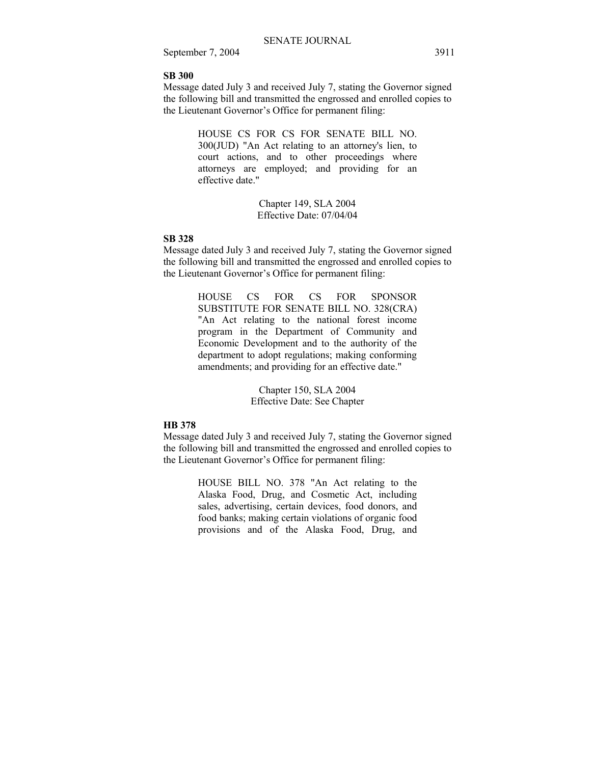### **SB 300**

Message dated July 3 and received July 7, stating the Governor signed the following bill and transmitted the engrossed and enrolled copies to the Lieutenant Governor's Office for permanent filing:

> HOUSE CS FOR CS FOR SENATE BILL NO. 300(JUD) "An Act relating to an attorney's lien, to court actions, and to other proceedings where attorneys are employed; and providing for an effective date."

> > Chapter 149, SLA 2004 Effective Date: 07/04/04

## **SB 328**

Message dated July 3 and received July 7, stating the Governor signed the following bill and transmitted the engrossed and enrolled copies to the Lieutenant Governor's Office for permanent filing:

> HOUSE CS FOR CS FOR SPONSOR SUBSTITUTE FOR SENATE BILL NO. 328(CRA) "An Act relating to the national forest income program in the Department of Community and Economic Development and to the authority of the department to adopt regulations; making conforming amendments; and providing for an effective date."

> > Chapter 150, SLA 2004 Effective Date: See Chapter

#### **HB 378**

Message dated July 3 and received July 7, stating the Governor signed the following bill and transmitted the engrossed and enrolled copies to the Lieutenant Governor's Office for permanent filing:

> HOUSE BILL NO. 378 "An Act relating to the Alaska Food, Drug, and Cosmetic Act, including sales, advertising, certain devices, food donors, and food banks; making certain violations of organic food provisions and of the Alaska Food, Drug, and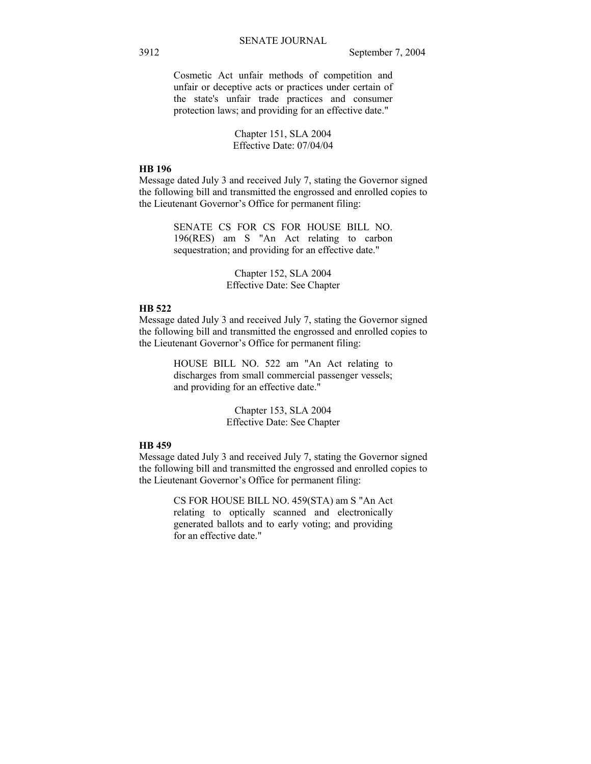Cosmetic Act unfair methods of competition and unfair or deceptive acts or practices under certain of the state's unfair trade practices and consumer protection laws; and providing for an effective date."

> Chapter 151, SLA 2004 Effective Date: 07/04/04

#### **HB 196**

Message dated July 3 and received July 7, stating the Governor signed the following bill and transmitted the engrossed and enrolled copies to the Lieutenant Governor's Office for permanent filing:

> SENATE CS FOR CS FOR HOUSE BILL NO. 196(RES) am S "An Act relating to carbon sequestration; and providing for an effective date."

> > Chapter 152, SLA 2004 Effective Date: See Chapter

#### **HB 522**

Message dated July 3 and received July 7, stating the Governor signed the following bill and transmitted the engrossed and enrolled copies to the Lieutenant Governor's Office for permanent filing:

> HOUSE BILL NO. 522 am "An Act relating to discharges from small commercial passenger vessels; and providing for an effective date."

> > Chapter 153, SLA 2004 Effective Date: See Chapter

## **HB 459**

Message dated July 3 and received July 7, stating the Governor signed the following bill and transmitted the engrossed and enrolled copies to the Lieutenant Governor's Office for permanent filing:

> CS FOR HOUSE BILL NO. 459(STA) am S "An Act relating to optically scanned and electronically generated ballots and to early voting; and providing for an effective date."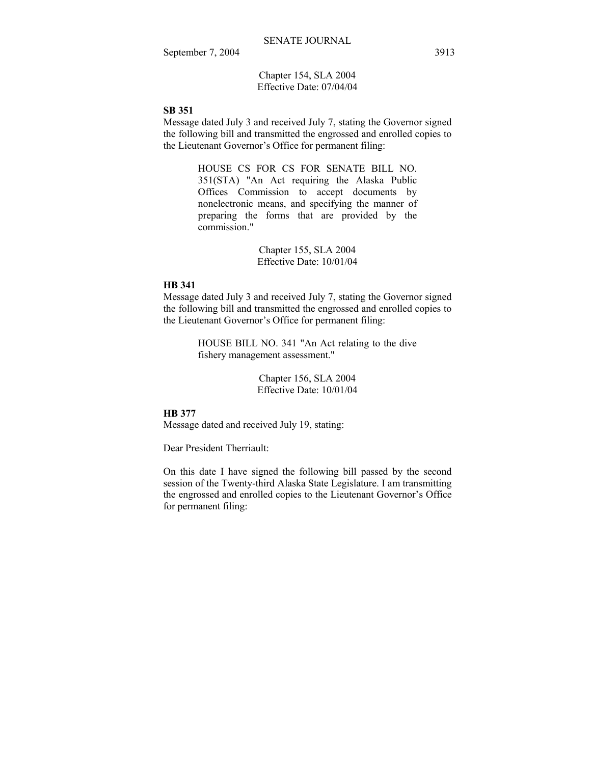Chapter 154, SLA 2004 Effective Date: 07/04/04

## **SB 351**

Message dated July 3 and received July 7, stating the Governor signed the following bill and transmitted the engrossed and enrolled copies to the Lieutenant Governor's Office for permanent filing:

> HOUSE CS FOR CS FOR SENATE BILL NO. 351(STA) "An Act requiring the Alaska Public Offices Commission to accept documents by nonelectronic means, and specifying the manner of preparing the forms that are provided by the commission."

> > Chapter 155, SLA 2004 Effective Date: 10/01/04

#### **HB 341**

Message dated July 3 and received July 7, stating the Governor signed the following bill and transmitted the engrossed and enrolled copies to the Lieutenant Governor's Office for permanent filing:

> HOUSE BILL NO. 341 "An Act relating to the dive fishery management assessment."

> > Chapter 156, SLA 2004 Effective Date: 10/01/04

## **HB 377**

Message dated and received July 19, stating:

Dear President Therriault:

On this date I have signed the following bill passed by the second session of the Twenty-third Alaska State Legislature. I am transmitting the engrossed and enrolled copies to the Lieutenant Governor's Office for permanent filing: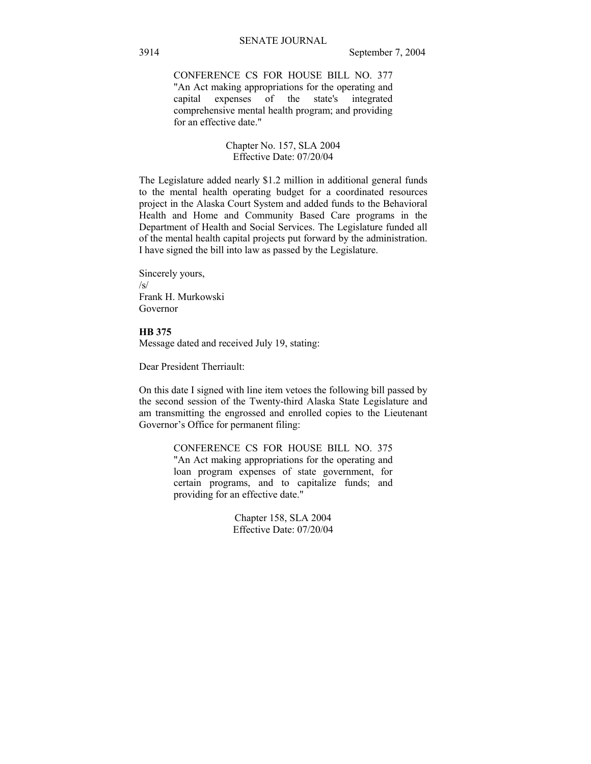CONFERENCE CS FOR HOUSE BILL NO. 377 "An Act making appropriations for the operating and capital expenses of the state's integrated comprehensive mental health program; and providing for an effective date."

## Chapter No. 157, SLA 2004 Effective Date: 07/20/04

The Legislature added nearly \$1.2 million in additional general funds to the mental health operating budget for a coordinated resources project in the Alaska Court System and added funds to the Behavioral Health and Home and Community Based Care programs in the Department of Health and Social Services. The Legislature funded all of the mental health capital projects put forward by the administration. I have signed the bill into law as passed by the Legislature.

Sincerely yours,  $\sqrt{s}$ Frank H. Murkowski Governor

## **HB 375**

Message dated and received July 19, stating:

Dear President Therriault:

On this date I signed with line item vetoes the following bill passed by the second session of the Twenty-third Alaska State Legislature and am transmitting the engrossed and enrolled copies to the Lieutenant Governor's Office for permanent filing:

> CONFERENCE CS FOR HOUSE BILL NO. 375 "An Act making appropriations for the operating and loan program expenses of state government, for certain programs, and to capitalize funds; and providing for an effective date."

> > Chapter 158, SLA 2004 Effective Date: 07/20/04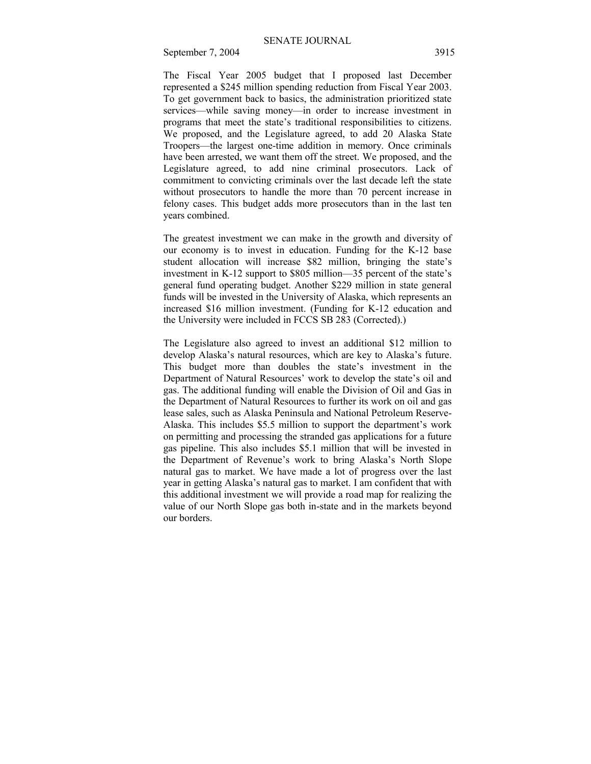The Fiscal Year 2005 budget that I proposed last December represented a \$245 million spending reduction from Fiscal Year 2003. To get government back to basics, the administration prioritized state services—while saving money—in order to increase investment in programs that meet the state's traditional responsibilities to citizens. We proposed, and the Legislature agreed, to add 20 Alaska State Troopers—the largest one-time addition in memory. Once criminals have been arrested, we want them off the street. We proposed, and the Legislature agreed, to add nine criminal prosecutors. Lack of commitment to convicting criminals over the last decade left the state without prosecutors to handle the more than 70 percent increase in felony cases. This budget adds more prosecutors than in the last ten years combined.

The greatest investment we can make in the growth and diversity of our economy is to invest in education. Funding for the K-12 base student allocation will increase \$82 million, bringing the state's investment in  $K-12$  support to \$805 million—35 percent of the state's general fund operating budget. Another \$229 million in state general funds will be invested in the University of Alaska, which represents an increased \$16 million investment. (Funding for K-12 education and the University were included in FCCS SB 283 (Corrected).)

The Legislature also agreed to invest an additional \$12 million to develop Alaska's natural resources, which are key to Alaska's future. This budget more than doubles the state's investment in the Department of Natural Resources' work to develop the state's oil and gas. The additional funding will enable the Division of Oil and Gas in the Department of Natural Resources to further its work on oil and gas lease sales, such as Alaska Peninsula and National Petroleum Reserve-Alaska. This includes \$5.5 million to support the department's work on permitting and processing the stranded gas applications for a future gas pipeline. This also includes \$5.1 million that will be invested in the Department of Revenue's work to bring Alaska's North Slope natural gas to market. We have made a lot of progress over the last year in getting Alaska's natural gas to market. I am confident that with this additional investment we will provide a road map for realizing the value of our North Slope gas both in-state and in the markets beyond our borders.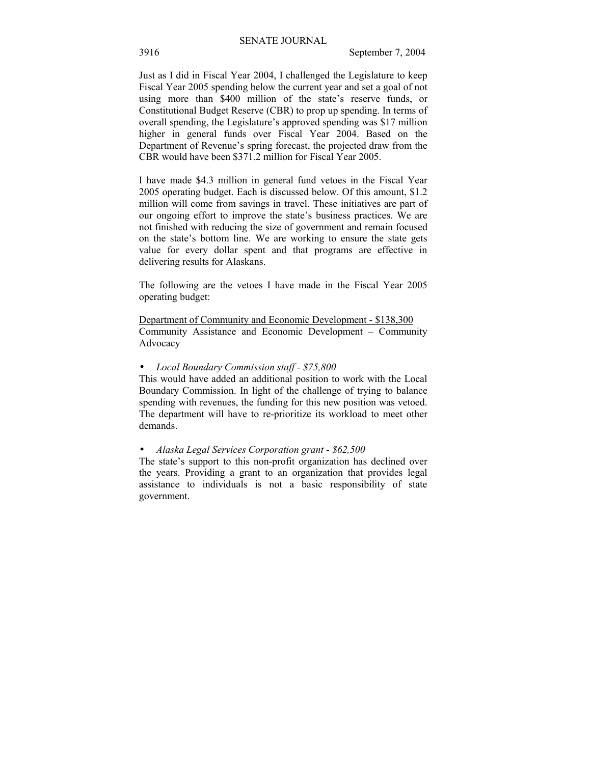Just as I did in Fiscal Year 2004, I challenged the Legislature to keep Fiscal Year 2005 spending below the current year and set a goal of not using more than \$400 million of the state's reserve funds, or Constitutional Budget Reserve (CBR) to prop up spending. In terms of overall spending, the Legislature's approved spending was \$17 million higher in general funds over Fiscal Year 2004. Based on the Department of Revenue's spring forecast, the projected draw from the CBR would have been \$371.2 million for Fiscal Year 2005.

I have made \$4.3 million in general fund vetoes in the Fiscal Year 2005 operating budget. Each is discussed below. Of this amount, \$1.2 million will come from savings in travel. These initiatives are part of our ongoing effort to improve the state's business practices. We are not finished with reducing the size of government and remain focused on the state's bottom line. We are working to ensure the state gets value for every dollar spent and that programs are effective in delivering results for Alaskans.

The following are the vetoes I have made in the Fiscal Year 2005 operating budget:

Department of Community and Economic Development - \$138,300 Community Assistance and Economic Development – Community Advocacy

## • *Local Boundary Commission staff - \$75,800*

This would have added an additional position to work with the Local Boundary Commission. In light of the challenge of trying to balance spending with revenues, the funding for this new position was vetoed. The department will have to re-prioritize its workload to meet other demands.

#### • *Alaska Legal Services Corporation grant - \$62,500*

The state's support to this non-profit organization has declined over the years. Providing a grant to an organization that provides legal assistance to individuals is not a basic responsibility of state government.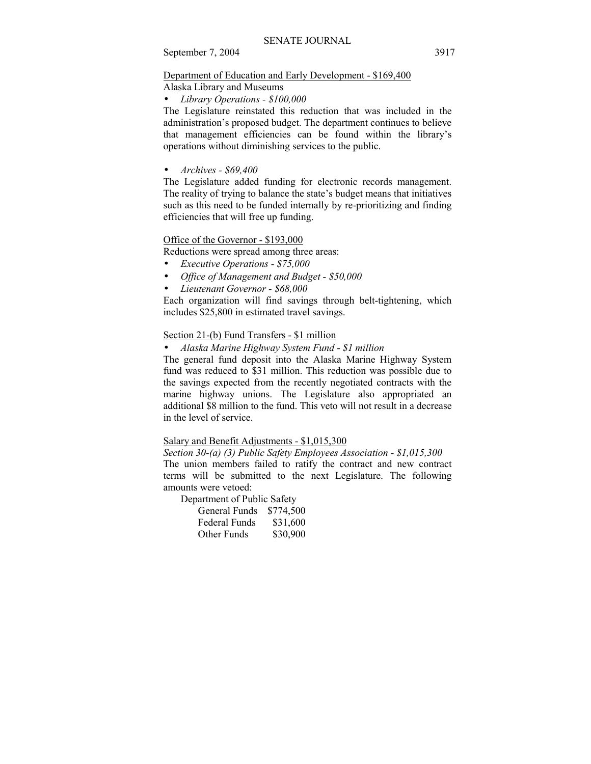## Department of Education and Early Development - \$169,400

Alaska Library and Museums

• *Library Operations - \$100,000* 

The Legislature reinstated this reduction that was included in the administration's proposed budget. The department continues to believe that management efficiencies can be found within the library's operations without diminishing services to the public.

## • *Archives - \$69,400*

The Legislature added funding for electronic records management. The reality of trying to balance the state's budget means that initiatives such as this need to be funded internally by re-prioritizing and finding efficiencies that will free up funding.

## Office of the Governor - \$193,000

Reductions were spread among three areas:

- *Executive Operations \$75,000*
- *Office of Management and Budget \$50,000*
- *Lieutenant Governor \$68,000*

Each organization will find savings through belt-tightening, which includes \$25,800 in estimated travel savings.

## Section 21-(b) Fund Transfers - \$1 million

• *Alaska Marine Highway System Fund - \$1 million* 

The general fund deposit into the Alaska Marine Highway System fund was reduced to \$31 million. This reduction was possible due to the savings expected from the recently negotiated contracts with the marine highway unions. The Legislature also appropriated an additional \$8 million to the fund. This veto will not result in a decrease in the level of service.

## Salary and Benefit Adjustments - \$1,015,300

*Section 30-(a) (3) Public Safety Employees Association - \$1,015,300*  The union members failed to ratify the contract and new contract terms will be submitted to the next Legislature. The following amounts were vetoed:

Department of Public Safety

| General Funds        | \$774,500 |
|----------------------|-----------|
| <b>Federal Funds</b> | \$31,600  |
| Other Funds          | \$30,900  |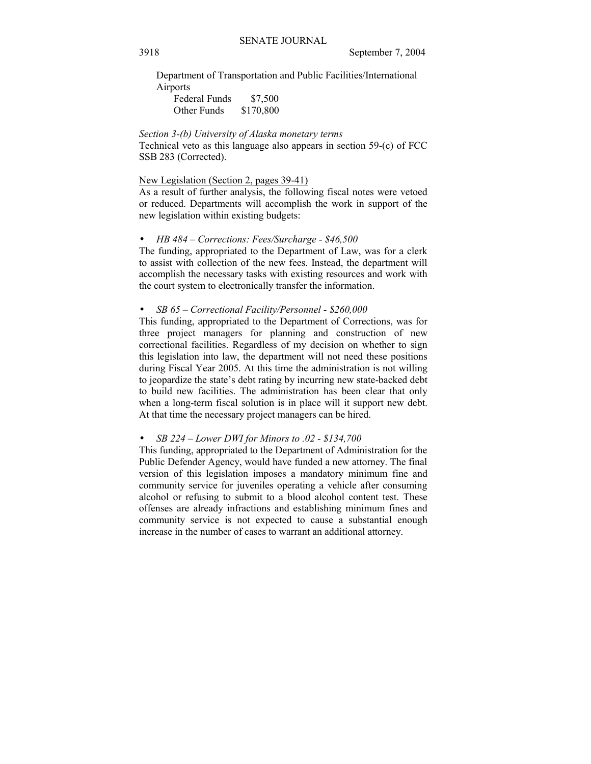Department of Transportation and Public Facilities/International Airports

| Federal Funds | \$7,500   |
|---------------|-----------|
| Other Funds   | \$170,800 |

## *Section 3-(b) University of Alaska monetary terms*

Technical veto as this language also appears in section 59-(c) of FCC SSB 283 (Corrected).

## New Legislation (Section 2, pages 39-41)

As a result of further analysis, the following fiscal notes were vetoed or reduced. Departments will accomplish the work in support of the new legislation within existing budgets:

### *HB*  $484$  – Corrections: Fees/Surcharge - \$46,500

The funding, appropriated to the Department of Law, was for a clerk to assist with collection of the new fees. Instead, the department will accomplish the necessary tasks with existing resources and work with the court system to electronically transfer the information.

#### *SB 65 – Correctional Facility/Personnel - \$260,000*

This funding, appropriated to the Department of Corrections, was for three project managers for planning and construction of new correctional facilities. Regardless of my decision on whether to sign this legislation into law, the department will not need these positions during Fiscal Year 2005. At this time the administration is not willing to jeopardize the state's debt rating by incurring new state-backed debt to build new facilities. The administration has been clear that only when a long-term fiscal solution is in place will it support new debt. At that time the necessary project managers can be hired.

#### *SB 224 – Lower DWI for Minors to .02 - \$134,700*

This funding, appropriated to the Department of Administration for the Public Defender Agency, would have funded a new attorney. The final version of this legislation imposes a mandatory minimum fine and community service for juveniles operating a vehicle after consuming alcohol or refusing to submit to a blood alcohol content test. These offenses are already infractions and establishing minimum fines and community service is not expected to cause a substantial enough increase in the number of cases to warrant an additional attorney.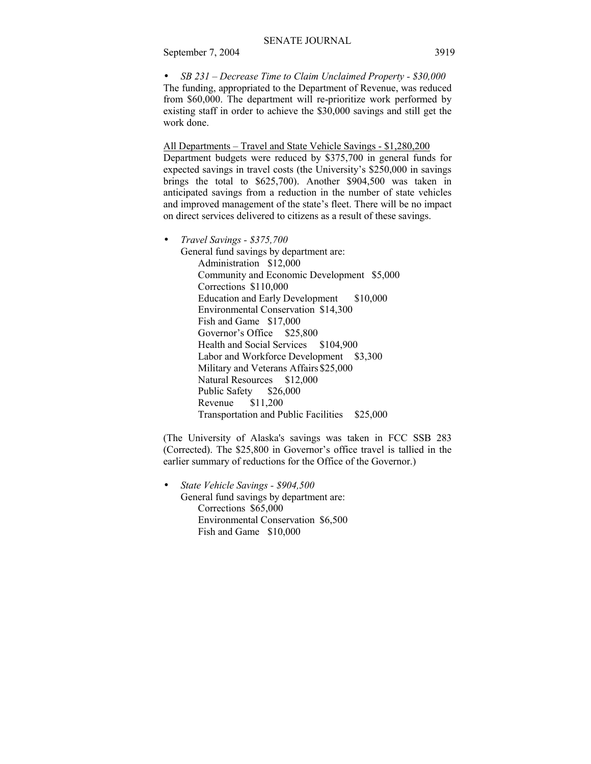*SB 231 – Decrease Time to Claim Unclaimed Property - \$30,000* The funding, appropriated to the Department of Revenue, was reduced from \$60,000. The department will re-prioritize work performed by existing staff in order to achieve the \$30,000 savings and still get the work done.

All Departments – Travel and State Vehicle Savings - \$1,280,200 Department budgets were reduced by \$375,700 in general funds for expected savings in travel costs (the University's \$250,000 in savings brings the total to \$625,700). Another \$904,500 was taken in anticipated savings from a reduction in the number of state vehicles and improved management of the state's fleet. There will be no impact on direct services delivered to citizens as a result of these savings.

• *Travel Savings - \$375,700* 

General fund savings by department are: Administration \$12,000 Community and Economic Development \$5,000 Corrections \$110,000 Education and Early Development \$10,000 Environmental Conservation \$14,300 Fish and Game \$17,000 Governor's Office \$25,800 Health and Social Services \$104,900 Labor and Workforce Development \$3,300 Military and Veterans Affairs \$25,000 Natural Resources \$12,000 Public Safety \$26,000 Revenue \$11,200 Transportation and Public Facilities \$25,000

(The University of Alaska's savings was taken in FCC SSB 283 (Corrected). The \$25,800 in Governor's office travel is tallied in the earlier summary of reductions for the Office of the Governor.)

• *State Vehicle Savings - \$904,500*  General fund savings by department are: Corrections \$65,000 Environmental Conservation \$6,500 Fish and Game \$10,000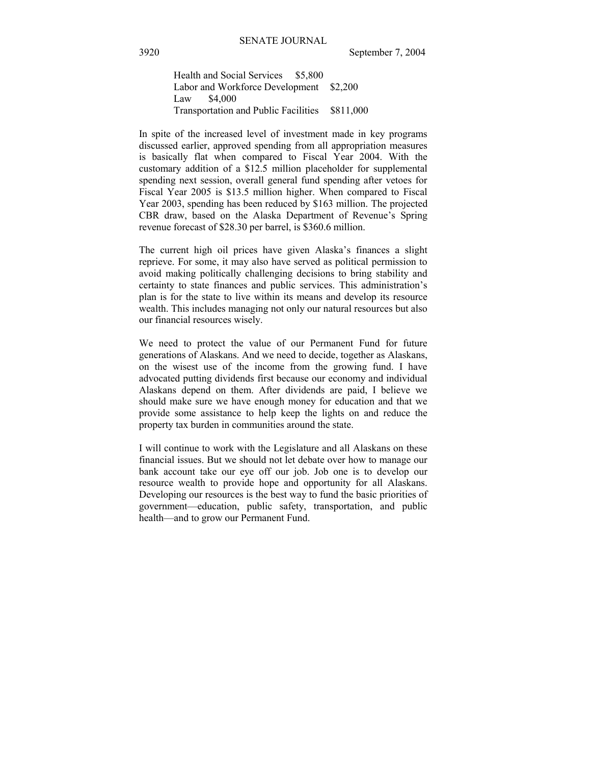Health and Social Services \$5,800 Labor and Workforce Development \$2,200 Law \$4,000 Transportation and Public Facilities \$811,000

In spite of the increased level of investment made in key programs discussed earlier, approved spending from all appropriation measures is basically flat when compared to Fiscal Year 2004. With the customary addition of a \$12.5 million placeholder for supplemental spending next session, overall general fund spending after vetoes for Fiscal Year 2005 is \$13.5 million higher. When compared to Fiscal Year 2003, spending has been reduced by \$163 million. The projected CBR draw, based on the Alaska Department of Revenue's Spring revenue forecast of \$28.30 per barrel, is \$360.6 million.

The current high oil prices have given Alaska's finances a slight reprieve. For some, it may also have served as political permission to avoid making politically challenging decisions to bring stability and certainty to state finances and public services. This administration's plan is for the state to live within its means and develop its resource wealth. This includes managing not only our natural resources but also our financial resources wisely.

We need to protect the value of our Permanent Fund for future generations of Alaskans. And we need to decide, together as Alaskans, on the wisest use of the income from the growing fund. I have advocated putting dividends first because our economy and individual Alaskans depend on them. After dividends are paid, I believe we should make sure we have enough money for education and that we provide some assistance to help keep the lights on and reduce the property tax burden in communities around the state.

I will continue to work with the Legislature and all Alaskans on these financial issues. But we should not let debate over how to manage our bank account take our eye off our job. Job one is to develop our resource wealth to provide hope and opportunity for all Alaskans. Developing our resources is the best way to fund the basic priorities of government—education, public safety, transportation, and public health—and to grow our Permanent Fund.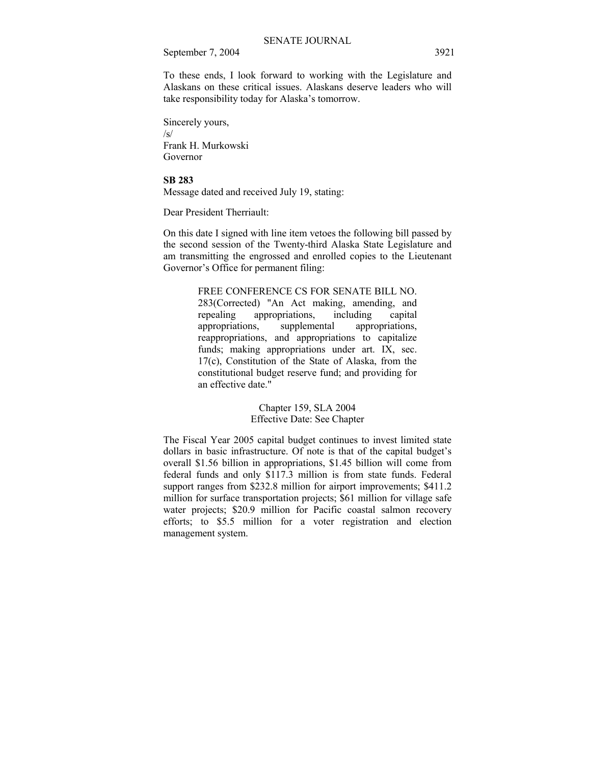To these ends, I look forward to working with the Legislature and Alaskans on these critical issues. Alaskans deserve leaders who will take responsibility today for Alaska's tomorrow.

Sincerely yours,  $\sqrt{s}$ Frank H. Murkowski Governor

## **SB 283**

Message dated and received July 19, stating:

Dear President Therriault:

On this date I signed with line item vetoes the following bill passed by the second session of the Twenty-third Alaska State Legislature and am transmitting the engrossed and enrolled copies to the Lieutenant Governor's Office for permanent filing:

> FREE CONFERENCE CS FOR SENATE BILL NO. 283(Corrected) "An Act making, amending, and<br>repealing appropriations, including capital appropriations, including capital appropriations, supplemental appropriations, reappropriations, and appropriations to capitalize funds; making appropriations under art. IX, sec. 17(c), Constitution of the State of Alaska, from the constitutional budget reserve fund; and providing for an effective date."

> > Chapter 159, SLA 2004 Effective Date: See Chapter

The Fiscal Year 2005 capital budget continues to invest limited state dollars in basic infrastructure. Of note is that of the capital budget's overall \$1.56 billion in appropriations, \$1.45 billion will come from federal funds and only \$117.3 million is from state funds. Federal support ranges from \$232.8 million for airport improvements; \$411.2 million for surface transportation projects; \$61 million for village safe water projects; \$20.9 million for Pacific coastal salmon recovery efforts; to \$5.5 million for a voter registration and election management system.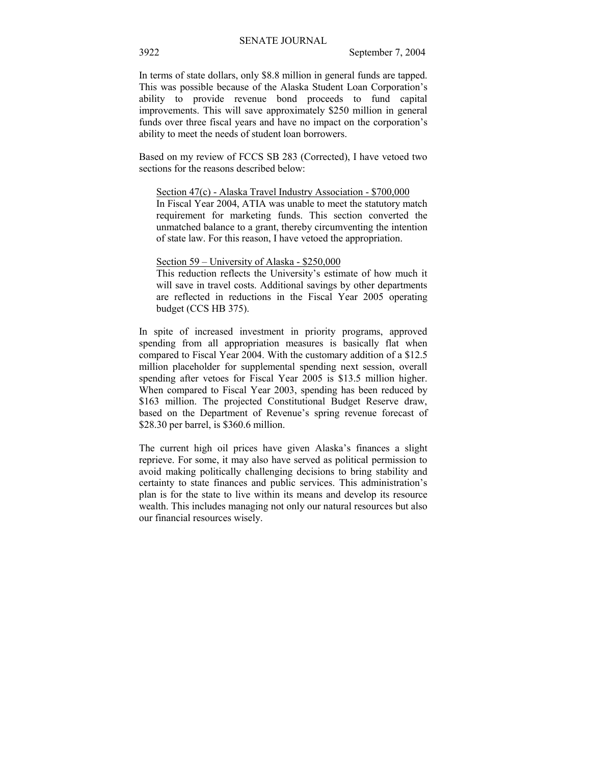In terms of state dollars, only \$8.8 million in general funds are tapped. This was possible because of the Alaska Student Loan Corporation's ability to provide revenue bond proceeds to fund capital improvements. This will save approximately \$250 million in general funds over three fiscal years and have no impact on the corporation's ability to meet the needs of student loan borrowers.

Based on my review of FCCS SB 283 (Corrected), I have vetoed two sections for the reasons described below:

## Section 47(c) - Alaska Travel Industry Association - \$700,000

In Fiscal Year 2004, ATIA was unable to meet the statutory match requirement for marketing funds. This section converted the unmatched balance to a grant, thereby circumventing the intention of state law. For this reason, I have vetoed the appropriation.

#### Section  $59$  – University of Alaska - \$250,000

This reduction reflects the University's estimate of how much it will save in travel costs. Additional savings by other departments are reflected in reductions in the Fiscal Year 2005 operating budget (CCS HB 375).

In spite of increased investment in priority programs, approved spending from all appropriation measures is basically flat when compared to Fiscal Year 2004. With the customary addition of a \$12.5 million placeholder for supplemental spending next session, overall spending after vetoes for Fiscal Year 2005 is \$13.5 million higher. When compared to Fiscal Year 2003, spending has been reduced by \$163 million. The projected Constitutional Budget Reserve draw, based on the Department of Revenue's spring revenue forecast of \$28.30 per barrel, is \$360.6 million.

The current high oil prices have given Alaska's finances a slight reprieve. For some, it may also have served as political permission to avoid making politically challenging decisions to bring stability and certainty to state finances and public services. This administration's plan is for the state to live within its means and develop its resource wealth. This includes managing not only our natural resources but also our financial resources wisely.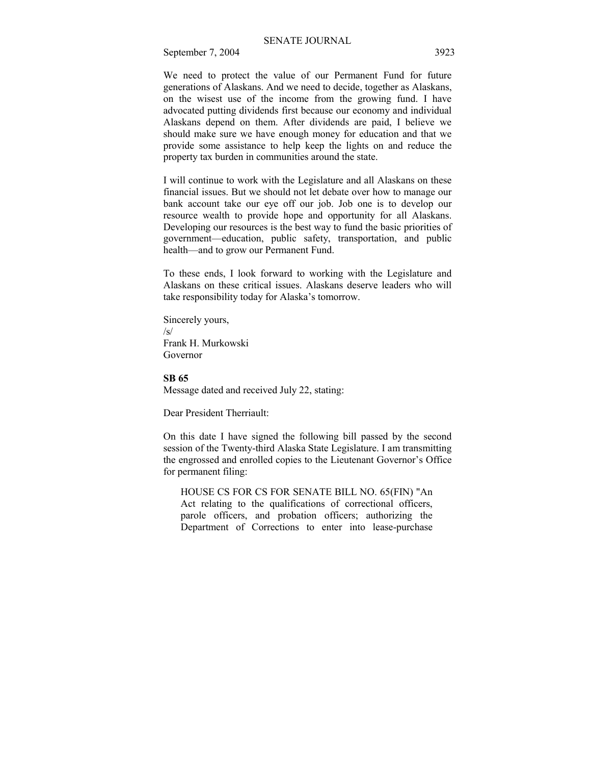We need to protect the value of our Permanent Fund for future generations of Alaskans. And we need to decide, together as Alaskans, on the wisest use of the income from the growing fund. I have advocated putting dividends first because our economy and individual Alaskans depend on them. After dividends are paid, I believe we should make sure we have enough money for education and that we provide some assistance to help keep the lights on and reduce the property tax burden in communities around the state.

I will continue to work with the Legislature and all Alaskans on these financial issues. But we should not let debate over how to manage our bank account take our eye off our job. Job one is to develop our resource wealth to provide hope and opportunity for all Alaskans. Developing our resources is the best way to fund the basic priorities of government—education, public safety, transportation, and public health—and to grow our Permanent Fund.

To these ends, I look forward to working with the Legislature and Alaskans on these critical issues. Alaskans deserve leaders who will take responsibility today for Alaska's tomorrow.

Sincerely yours,  $\sqrt{s}$ Frank H. Murkowski Governor

#### **SB 65**

Message dated and received July 22, stating:

Dear President Therriault:

On this date I have signed the following bill passed by the second session of the Twenty-third Alaska State Legislature. I am transmitting the engrossed and enrolled copies to the Lieutenant Governor's Office for permanent filing:

HOUSE CS FOR CS FOR SENATE BILL NO. 65(FIN) "An Act relating to the qualifications of correctional officers, parole officers, and probation officers; authorizing the Department of Corrections to enter into lease-purchase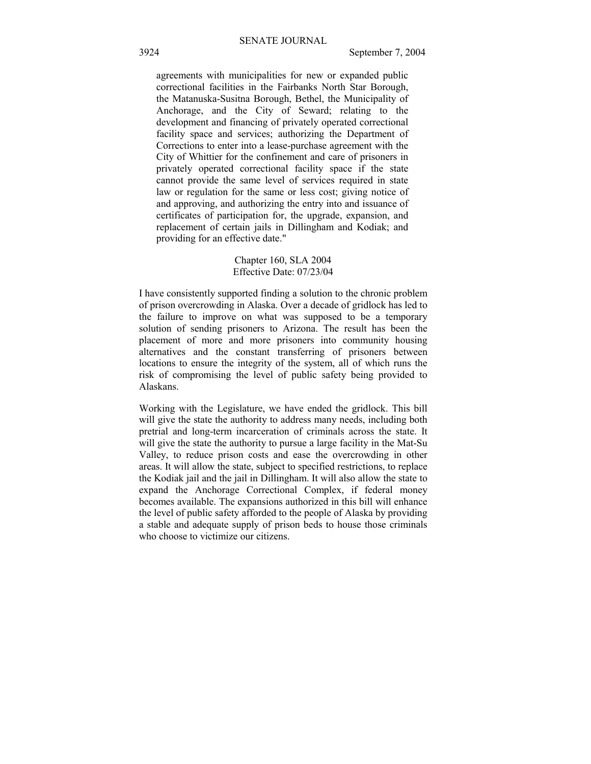agreements with municipalities for new or expanded public correctional facilities in the Fairbanks North Star Borough, the Matanuska-Susitna Borough, Bethel, the Municipality of Anchorage, and the City of Seward; relating to the development and financing of privately operated correctional facility space and services; authorizing the Department of Corrections to enter into a lease-purchase agreement with the City of Whittier for the confinement and care of prisoners in privately operated correctional facility space if the state cannot provide the same level of services required in state law or regulation for the same or less cost; giving notice of and approving, and authorizing the entry into and issuance of certificates of participation for, the upgrade, expansion, and replacement of certain jails in Dillingham and Kodiak; and providing for an effective date."

## Chapter 160, SLA 2004 Effective Date: 07/23/04

I have consistently supported finding a solution to the chronic problem of prison overcrowding in Alaska. Over a decade of gridlock has led to the failure to improve on what was supposed to be a temporary solution of sending prisoners to Arizona. The result has been the placement of more and more prisoners into community housing alternatives and the constant transferring of prisoners between locations to ensure the integrity of the system, all of which runs the risk of compromising the level of public safety being provided to Alaskans.

Working with the Legislature, we have ended the gridlock. This bill will give the state the authority to address many needs, including both pretrial and long-term incarceration of criminals across the state. It will give the state the authority to pursue a large facility in the Mat-Su Valley, to reduce prison costs and ease the overcrowding in other areas. It will allow the state, subject to specified restrictions, to replace the Kodiak jail and the jail in Dillingham. It will also allow the state to expand the Anchorage Correctional Complex, if federal money becomes available. The expansions authorized in this bill will enhance the level of public safety afforded to the people of Alaska by providing a stable and adequate supply of prison beds to house those criminals who choose to victimize our citizens.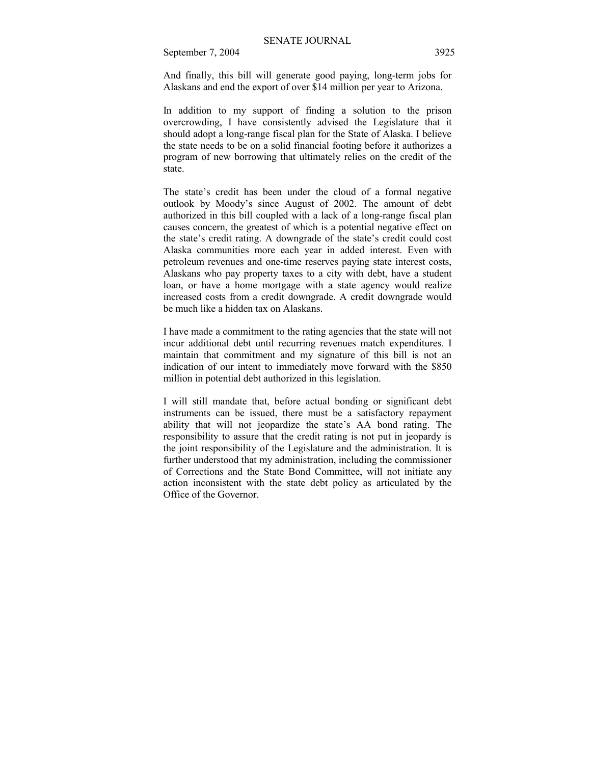And finally, this bill will generate good paying, long-term jobs for Alaskans and end the export of over \$14 million per year to Arizona.

In addition to my support of finding a solution to the prison overcrowding, I have consistently advised the Legislature that it should adopt a long-range fiscal plan for the State of Alaska. I believe the state needs to be on a solid financial footing before it authorizes a program of new borrowing that ultimately relies on the credit of the state.

The state's credit has been under the cloud of a formal negative outlook by Moody's since August of 2002. The amount of debt authorized in this bill coupled with a lack of a long-range fiscal plan causes concern, the greatest of which is a potential negative effect on the state's credit rating. A downgrade of the state's credit could cost Alaska communities more each year in added interest. Even with petroleum revenues and one-time reserves paying state interest costs, Alaskans who pay property taxes to a city with debt, have a student loan, or have a home mortgage with a state agency would realize increased costs from a credit downgrade. A credit downgrade would be much like a hidden tax on Alaskans.

I have made a commitment to the rating agencies that the state will not incur additional debt until recurring revenues match expenditures. I maintain that commitment and my signature of this bill is not an indication of our intent to immediately move forward with the \$850 million in potential debt authorized in this legislation.

I will still mandate that, before actual bonding or significant debt instruments can be issued, there must be a satisfactory repayment ability that will not jeopardize the state's AA bond rating. The responsibility to assure that the credit rating is not put in jeopardy is the joint responsibility of the Legislature and the administration. It is further understood that my administration, including the commissioner of Corrections and the State Bond Committee, will not initiate any action inconsistent with the state debt policy as articulated by the Office of the Governor.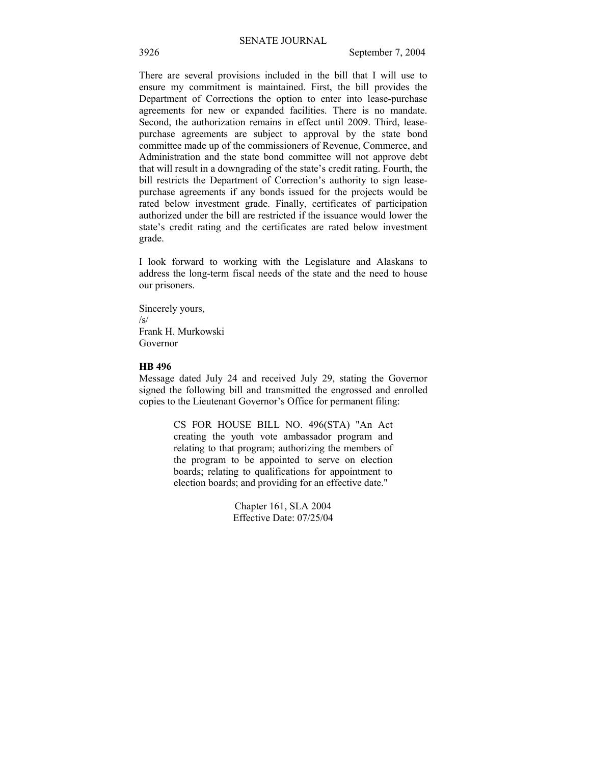There are several provisions included in the bill that I will use to ensure my commitment is maintained. First, the bill provides the Department of Corrections the option to enter into lease-purchase agreements for new or expanded facilities. There is no mandate. Second, the authorization remains in effect until 2009. Third, leasepurchase agreements are subject to approval by the state bond committee made up of the commissioners of Revenue, Commerce, and Administration and the state bond committee will not approve debt that will result in a downgrading of the state's credit rating. Fourth, the bill restricts the Department of Correction's authority to sign leasepurchase agreements if any bonds issued for the projects would be rated below investment grade. Finally, certificates of participation authorized under the bill are restricted if the issuance would lower the state's credit rating and the certificates are rated below investment grade.

I look forward to working with the Legislature and Alaskans to address the long-term fiscal needs of the state and the need to house our prisoners.

Sincerely yours,  $\sqrt{s}$ Frank H. Murkowski Governor

#### **HB 496**

Message dated July 24 and received July 29, stating the Governor signed the following bill and transmitted the engrossed and enrolled copies to the Lieutenant Governor's Office for permanent filing:

> CS FOR HOUSE BILL NO. 496(STA) "An Act creating the youth vote ambassador program and relating to that program; authorizing the members of the program to be appointed to serve on election boards; relating to qualifications for appointment to election boards; and providing for an effective date."

> > Chapter 161, SLA 2004 Effective Date: 07/25/04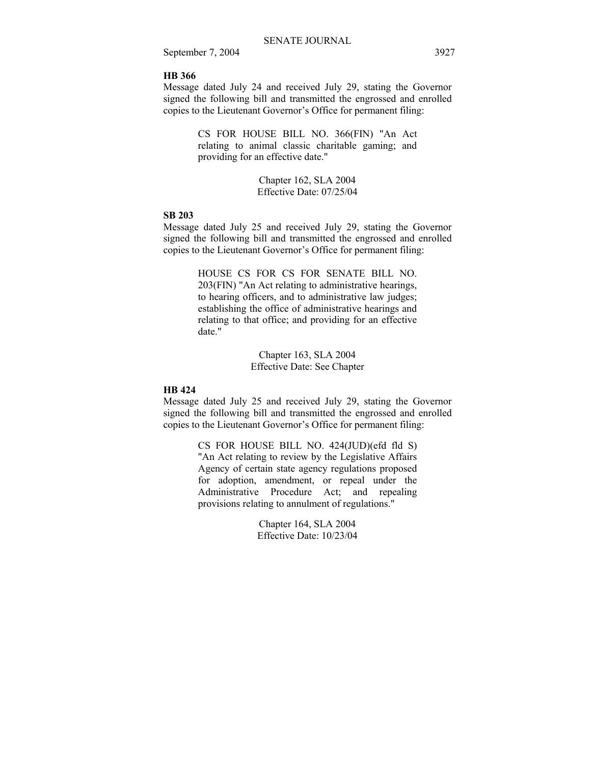## **HB 366**

Message dated July 24 and received July 29, stating the Governor signed the following bill and transmitted the engrossed and enrolled copies to the Lieutenant Governor's Office for permanent filing:

> CS FOR HOUSE BILL NO. 366(FIN) "An Act relating to animal classic charitable gaming; and providing for an effective date."

> > Chapter 162, SLA 2004 Effective Date: 07/25/04

## **SB 203**

Message dated July 25 and received July 29, stating the Governor signed the following bill and transmitted the engrossed and enrolled copies to the Lieutenant Governor's Office for permanent filing:

> HOUSE CS FOR CS FOR SENATE BILL NO. 203(FIN) "An Act relating to administrative hearings, to hearing officers, and to administrative law judges; establishing the office of administrative hearings and relating to that office; and providing for an effective date."

> > Chapter 163, SLA 2004 Effective Date: See Chapter

## **HB 424**

Message dated July 25 and received July 29, stating the Governor signed the following bill and transmitted the engrossed and enrolled copies to the Lieutenant Governor's Office for permanent filing:

> CS FOR HOUSE BILL NO. 424(JUD)(efd fld S) "An Act relating to review by the Legislative Affairs Agency of certain state agency regulations proposed for adoption, amendment, or repeal under the Administrative Procedure Act; and repealing provisions relating to annulment of regulations."

> > Chapter 164, SLA 2004 Effective Date: 10/23/04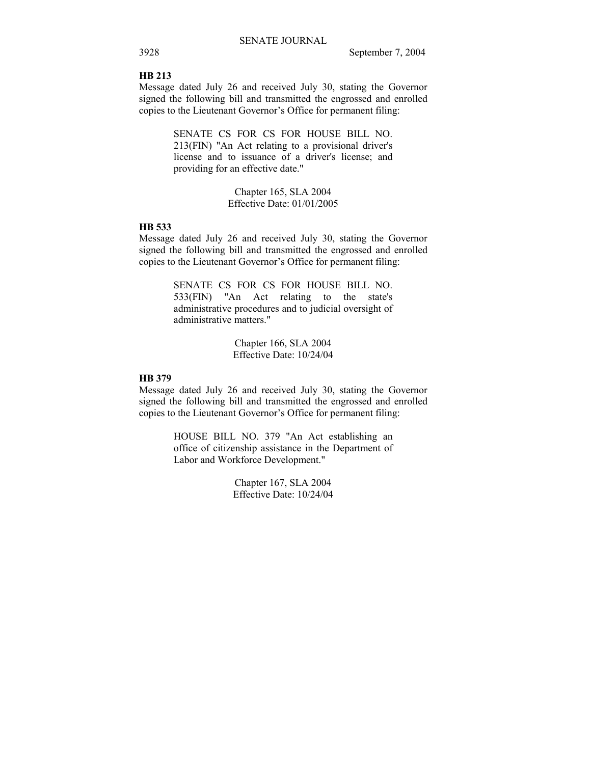## **HB 213**

Message dated July 26 and received July 30, stating the Governor signed the following bill and transmitted the engrossed and enrolled copies to the Lieutenant Governor's Office for permanent filing:

> SENATE CS FOR CS FOR HOUSE BILL NO. 213(FIN) "An Act relating to a provisional driver's license and to issuance of a driver's license; and providing for an effective date."

> > Chapter 165, SLA 2004 Effective Date: 01/01/2005

## **HB 533**

Message dated July 26 and received July 30, stating the Governor signed the following bill and transmitted the engrossed and enrolled copies to the Lieutenant Governor's Office for permanent filing:

> SENATE CS FOR CS FOR HOUSE BILL NO. 533(FIN) "An Act relating to the state's administrative procedures and to judicial oversight of administrative matters."

> > Chapter 166, SLA 2004 Effective Date: 10/24/04

## **HB 379**

Message dated July 26 and received July 30, stating the Governor signed the following bill and transmitted the engrossed and enrolled copies to the Lieutenant Governor's Office for permanent filing:

> HOUSE BILL NO. 379 "An Act establishing an office of citizenship assistance in the Department of Labor and Workforce Development."

> > Chapter 167, SLA 2004 Effective Date: 10/24/04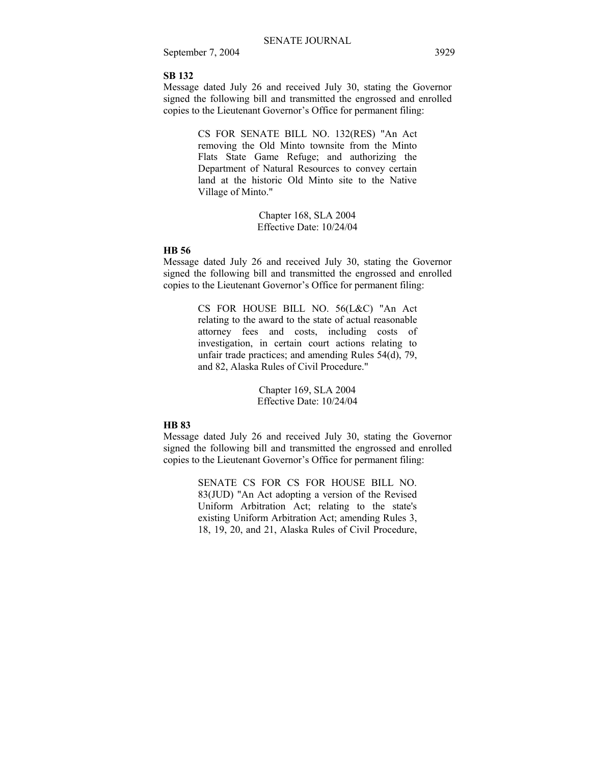## **SB 132**

Message dated July 26 and received July 30, stating the Governor signed the following bill and transmitted the engrossed and enrolled copies to the Lieutenant Governor's Office for permanent filing:

> CS FOR SENATE BILL NO. 132(RES) "An Act removing the Old Minto townsite from the Minto Flats State Game Refuge; and authorizing the Department of Natural Resources to convey certain land at the historic Old Minto site to the Native Village of Minto."

> > Chapter 168, SLA 2004 Effective Date: 10/24/04

## **HB 56**

Message dated July 26 and received July 30, stating the Governor signed the following bill and transmitted the engrossed and enrolled copies to the Lieutenant Governor's Office for permanent filing:

> CS FOR HOUSE BILL NO. 56(L&C) "An Act relating to the award to the state of actual reasonable attorney fees and costs, including costs of investigation, in certain court actions relating to unfair trade practices; and amending Rules 54(d), 79, and 82, Alaska Rules of Civil Procedure."

> > Chapter 169, SLA 2004 Effective Date: 10/24/04

## **HB 83**

Message dated July 26 and received July 30, stating the Governor signed the following bill and transmitted the engrossed and enrolled copies to the Lieutenant Governor's Office for permanent filing:

> SENATE CS FOR CS FOR HOUSE BILL NO. 83(JUD) "An Act adopting a version of the Revised Uniform Arbitration Act; relating to the state's existing Uniform Arbitration Act; amending Rules 3, 18, 19, 20, and 21, Alaska Rules of Civil Procedure,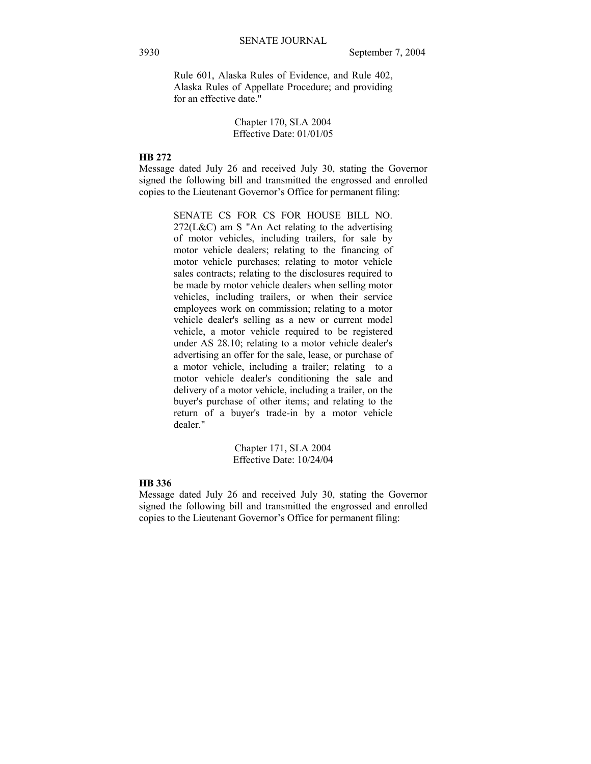Rule 601, Alaska Rules of Evidence, and Rule 402, Alaska Rules of Appellate Procedure; and providing for an effective date."

> Chapter 170, SLA 2004 Effective Date: 01/01/05

## **HB 272**

Message dated July 26 and received July 30, stating the Governor signed the following bill and transmitted the engrossed and enrolled copies to the Lieutenant Governor's Office for permanent filing:

> SENATE CS FOR CS FOR HOUSE BILL NO.  $272(L&C)$  am S "An Act relating to the advertising of motor vehicles, including trailers, for sale by motor vehicle dealers; relating to the financing of motor vehicle purchases; relating to motor vehicle sales contracts; relating to the disclosures required to be made by motor vehicle dealers when selling motor vehicles, including trailers, or when their service employees work on commission; relating to a motor vehicle dealer's selling as a new or current model vehicle, a motor vehicle required to be registered under AS 28.10; relating to a motor vehicle dealer's advertising an offer for the sale, lease, or purchase of a motor vehicle, including a trailer; relating to a motor vehicle dealer's conditioning the sale and delivery of a motor vehicle, including a trailer, on the buyer's purchase of other items; and relating to the return of a buyer's trade-in by a motor vehicle dealer."

> > Chapter 171, SLA 2004 Effective Date: 10/24/04

## **HB 336**

Message dated July 26 and received July 30, stating the Governor signed the following bill and transmitted the engrossed and enrolled copies to the Lieutenant Governor's Office for permanent filing: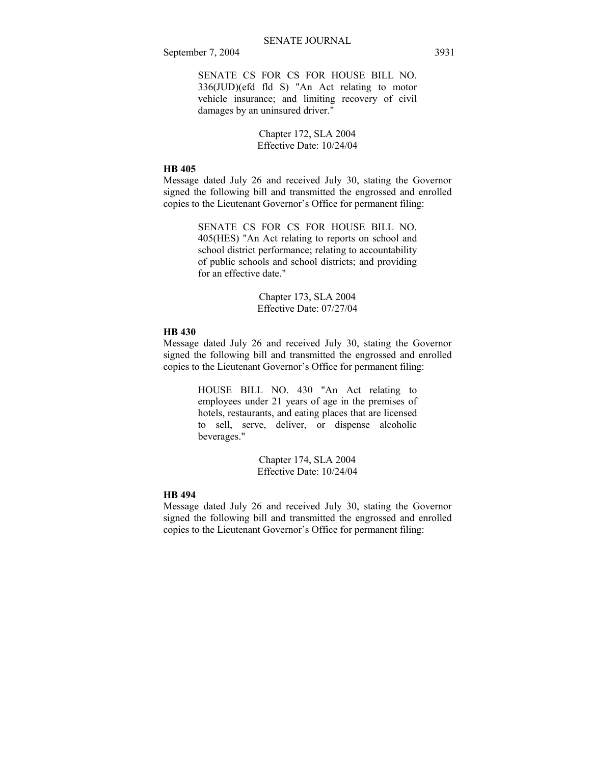SENATE CS FOR CS FOR HOUSE BILL NO. 336(JUD)(efd fld S) "An Act relating to motor vehicle insurance; and limiting recovery of civil damages by an uninsured driver."

> Chapter 172, SLA 2004 Effective Date: 10/24/04

## **HB 405**

Message dated July 26 and received July 30, stating the Governor signed the following bill and transmitted the engrossed and enrolled copies to the Lieutenant Governor's Office for permanent filing:

> SENATE CS FOR CS FOR HOUSE BILL NO. 405(HES) "An Act relating to reports on school and school district performance; relating to accountability of public schools and school districts; and providing for an effective date."

> > Chapter 173, SLA 2004 Effective Date: 07/27/04

## **HB 430**

Message dated July 26 and received July 30, stating the Governor signed the following bill and transmitted the engrossed and enrolled copies to the Lieutenant Governor's Office for permanent filing:

> HOUSE BILL NO. 430 "An Act relating to employees under 21 years of age in the premises of hotels, restaurants, and eating places that are licensed to sell, serve, deliver, or dispense alcoholic beverages."

> > Chapter 174, SLA 2004 Effective Date: 10/24/04

## **HB 494**

Message dated July 26 and received July 30, stating the Governor signed the following bill and transmitted the engrossed and enrolled copies to the Lieutenant Governor's Office for permanent filing: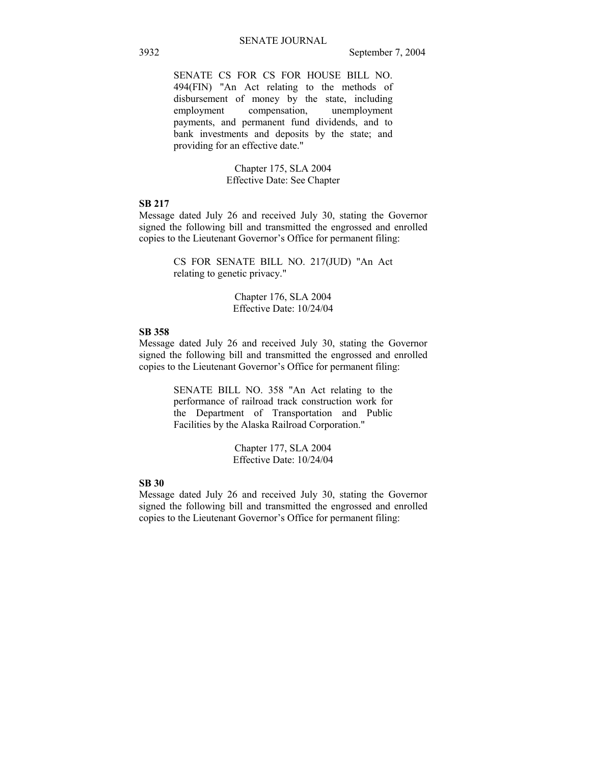SENATE CS FOR CS FOR HOUSE BILL NO. 494(FIN) "An Act relating to the methods of disbursement of money by the state, including employment compensation, unemployment payments, and permanent fund dividends, and to bank investments and deposits by the state; and providing for an effective date."

> Chapter 175, SLA 2004 Effective Date: See Chapter

## **SB 217**

Message dated July 26 and received July 30, stating the Governor signed the following bill and transmitted the engrossed and enrolled copies to the Lieutenant Governor's Office for permanent filing:

> CS FOR SENATE BILL NO. 217(JUD) "An Act relating to genetic privacy."

> > Chapter 176, SLA 2004 Effective Date: 10/24/04

## **SB 358**

Message dated July 26 and received July 30, stating the Governor signed the following bill and transmitted the engrossed and enrolled copies to the Lieutenant Governor's Office for permanent filing:

> SENATE BILL NO. 358 "An Act relating to the performance of railroad track construction work for the Department of Transportation and Public Facilities by the Alaska Railroad Corporation."

> > Chapter 177, SLA 2004 Effective Date: 10/24/04

## **SB 30**

Message dated July 26 and received July 30, stating the Governor signed the following bill and transmitted the engrossed and enrolled copies to the Lieutenant Governor's Office for permanent filing: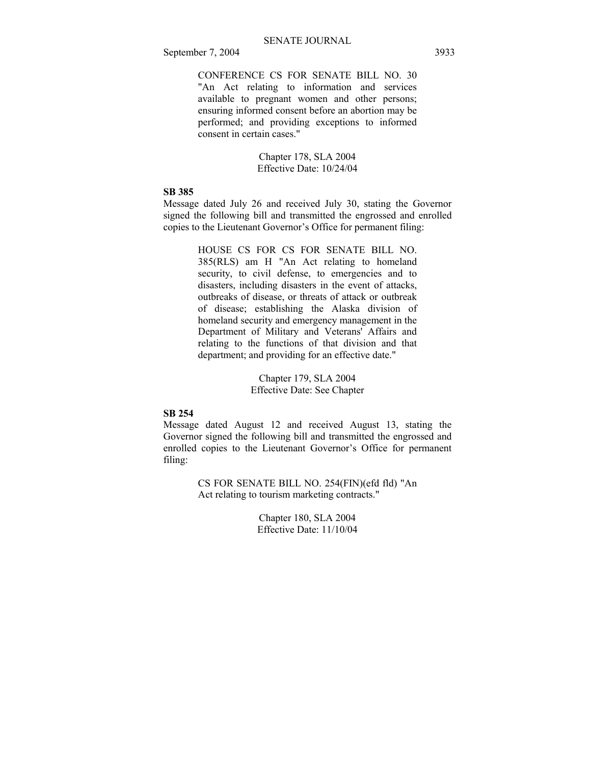CONFERENCE CS FOR SENATE BILL NO. 30 "An Act relating to information and services available to pregnant women and other persons; ensuring informed consent before an abortion may be performed; and providing exceptions to informed consent in certain cases."

> Chapter 178, SLA 2004 Effective Date: 10/24/04

## **SB 385**

Message dated July 26 and received July 30, stating the Governor signed the following bill and transmitted the engrossed and enrolled copies to the Lieutenant Governor's Office for permanent filing:

> HOUSE CS FOR CS FOR SENATE BILL NO. 385(RLS) am H "An Act relating to homeland security, to civil defense, to emergencies and to disasters, including disasters in the event of attacks, outbreaks of disease, or threats of attack or outbreak of disease; establishing the Alaska division of homeland security and emergency management in the Department of Military and Veterans' Affairs and relating to the functions of that division and that department; and providing for an effective date."

> > Chapter 179, SLA 2004 Effective Date: See Chapter

## **SB 254**

Message dated August 12 and received August 13, stating the Governor signed the following bill and transmitted the engrossed and enrolled copies to the Lieutenant Governor's Office for permanent filing:

> CS FOR SENATE BILL NO. 254(FIN)(efd fld) "An Act relating to tourism marketing contracts."

> > Chapter 180, SLA 2004 Effective Date: 11/10/04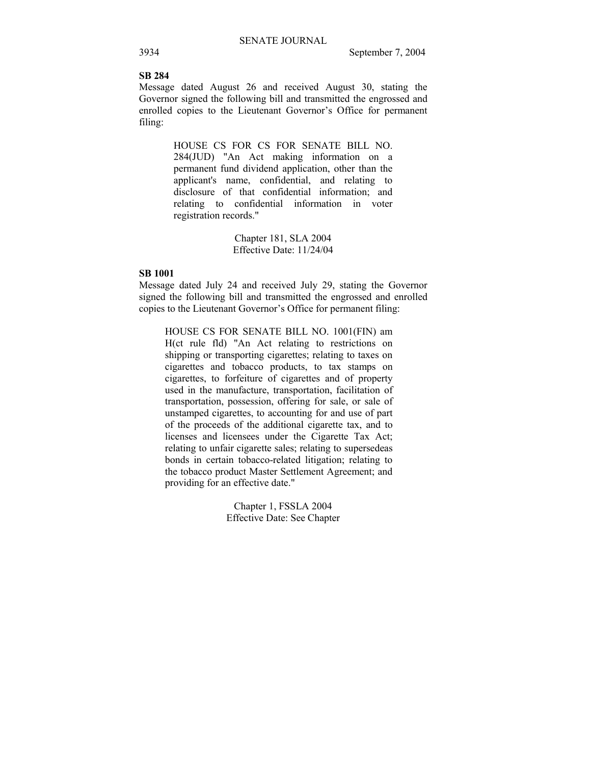## **SB 284**

Message dated August 26 and received August 30, stating the Governor signed the following bill and transmitted the engrossed and enrolled copies to the Lieutenant Governor's Office for permanent filing:

> HOUSE CS FOR CS FOR SENATE BILL NO. 284(JUD) "An Act making information on a permanent fund dividend application, other than the applicant's name, confidential, and relating to disclosure of that confidential information; and relating to confidential information in voter registration records."

> > Chapter 181, SLA 2004 Effective Date: 11/24/04

## **SB 1001**

Message dated July 24 and received July 29, stating the Governor signed the following bill and transmitted the engrossed and enrolled copies to the Lieutenant Governor's Office for permanent filing:

HOUSE CS FOR SENATE BILL NO. 1001(FIN) am H(ct rule fld) "An Act relating to restrictions on shipping or transporting cigarettes; relating to taxes on cigarettes and tobacco products, to tax stamps on cigarettes, to forfeiture of cigarettes and of property used in the manufacture, transportation, facilitation of transportation, possession, offering for sale, or sale of unstamped cigarettes, to accounting for and use of part of the proceeds of the additional cigarette tax, and to licenses and licensees under the Cigarette Tax Act; relating to unfair cigarette sales; relating to supersedeas bonds in certain tobacco-related litigation; relating to the tobacco product Master Settlement Agreement; and providing for an effective date."

> Chapter 1, FSSLA 2004 Effective Date: See Chapter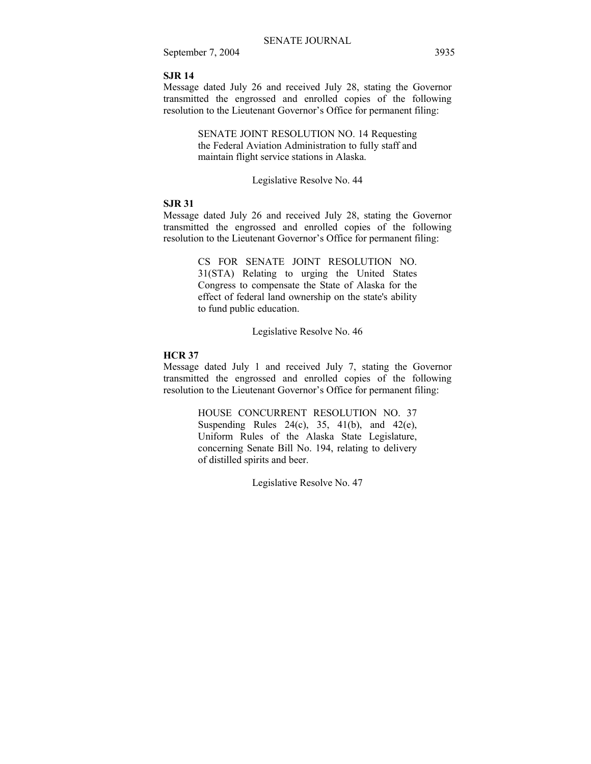## **SJR 14**

Message dated July 26 and received July 28, stating the Governor transmitted the engrossed and enrolled copies of the following resolution to the Lieutenant Governor's Office for permanent filing:

> SENATE JOINT RESOLUTION NO. 14 Requesting the Federal Aviation Administration to fully staff and maintain flight service stations in Alaska.

#### Legislative Resolve No. 44

## **SJR 31**

Message dated July 26 and received July 28, stating the Governor transmitted the engrossed and enrolled copies of the following resolution to the Lieutenant Governor's Office for permanent filing:

> CS FOR SENATE JOINT RESOLUTION NO. 31(STA) Relating to urging the United States Congress to compensate the State of Alaska for the effect of federal land ownership on the state's ability to fund public education.

> > Legislative Resolve No. 46

## **HCR 37**

Message dated July 1 and received July 7, stating the Governor transmitted the engrossed and enrolled copies of the following resolution to the Lieutenant Governor's Office for permanent filing:

> HOUSE CONCURRENT RESOLUTION NO. 37 Suspending Rules  $24(c)$ ,  $35$ ,  $41(b)$ , and  $42(e)$ , Uniform Rules of the Alaska State Legislature, concerning Senate Bill No. 194, relating to delivery of distilled spirits and beer.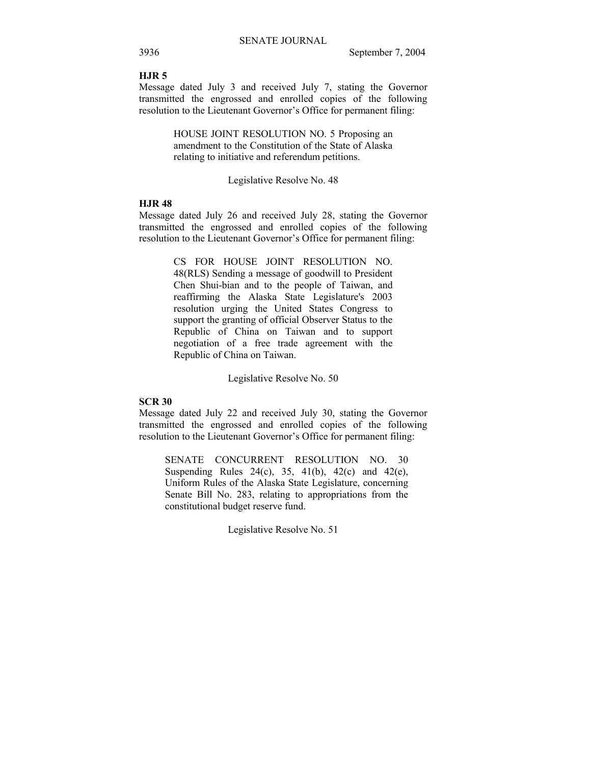## **HJR 5**

Message dated July 3 and received July 7, stating the Governor transmitted the engrossed and enrolled copies of the following resolution to the Lieutenant Governor's Office for permanent filing:

> HOUSE JOINT RESOLUTION NO. 5 Proposing an amendment to the Constitution of the State of Alaska relating to initiative and referendum petitions.

#### Legislative Resolve No. 48

## **HJR 48**

Message dated July 26 and received July 28, stating the Governor transmitted the engrossed and enrolled copies of the following resolution to the Lieutenant Governor's Office for permanent filing:

> CS FOR HOUSE JOINT RESOLUTION NO. 48(RLS) Sending a message of goodwill to President Chen Shui-bian and to the people of Taiwan, and reaffirming the Alaska State Legislature's 2003 resolution urging the United States Congress to support the granting of official Observer Status to the Republic of China on Taiwan and to support negotiation of a free trade agreement with the Republic of China on Taiwan.

> > Legislative Resolve No. 50

#### **SCR 30**

Message dated July 22 and received July 30, stating the Governor transmitted the engrossed and enrolled copies of the following resolution to the Lieutenant Governor's Office for permanent filing:

SENATE CONCURRENT RESOLUTION NO. 30 Suspending Rules 24(c), 35, 41(b), 42(c) and 42(e), Uniform Rules of the Alaska State Legislature, concerning Senate Bill No. 283, relating to appropriations from the constitutional budget reserve fund.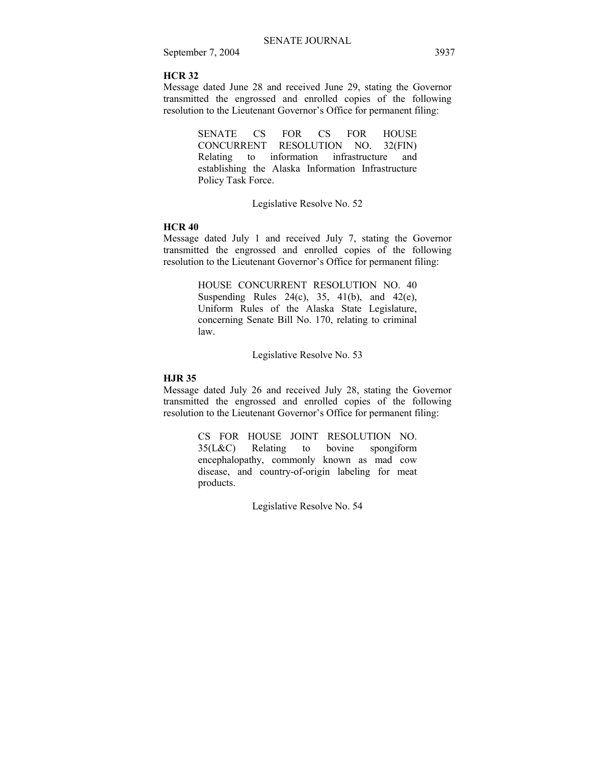## **HCR 32**

Message dated June 28 and received June 29, stating the Governor transmitted the engrossed and enrolled copies of the following resolution to the Lieutenant Governor's Office for permanent filing:

> SENATE CS FOR CS FOR HOUSE CONCURRENT RESOLUTION NO. 32(FIN) Relating to information infrastructure and establishing the Alaska Information Infrastructure Policy Task Force.

> > Legislative Resolve No. 52

#### **HCR 40**

Message dated July 1 and received July 7, stating the Governor transmitted the engrossed and enrolled copies of the following resolution to the Lieutenant Governor's Office for permanent filing:

> HOUSE CONCURRENT RESOLUTION NO. 40 Suspending Rules  $24(c)$ ,  $35$ ,  $41(b)$ , and  $42(e)$ , Uniform Rules of the Alaska State Legislature, concerning Senate Bill No. 170, relating to criminal law.

> > Legislative Resolve No. 53

## **HJR 35**

Message dated July 26 and received July 28, stating the Governor transmitted the engrossed and enrolled copies of the following resolution to the Lieutenant Governor's Office for permanent filing:

> CS FOR HOUSE JOINT RESOLUTION NO. 35(L&C) Relating to bovine spongiform encephalopathy, commonly known as mad cow disease, and country-of-origin labeling for meat products.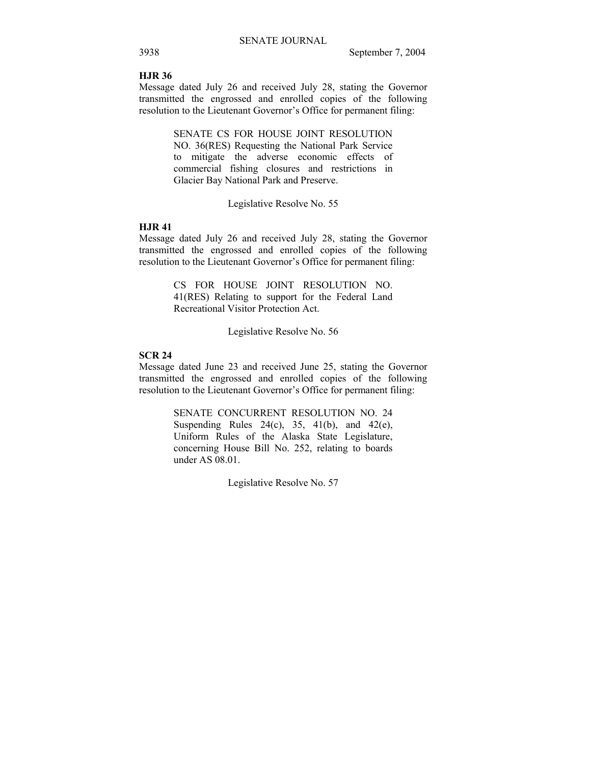## **HJR 36**

Message dated July 26 and received July 28, stating the Governor transmitted the engrossed and enrolled copies of the following resolution to the Lieutenant Governor's Office for permanent filing:

> SENATE CS FOR HOUSE JOINT RESOLUTION NO. 36(RES) Requesting the National Park Service to mitigate the adverse economic effects of commercial fishing closures and restrictions in Glacier Bay National Park and Preserve.

## Legislative Resolve No. 55

## **HJR 41**

Message dated July 26 and received July 28, stating the Governor transmitted the engrossed and enrolled copies of the following resolution to the Lieutenant Governor's Office for permanent filing:

> CS FOR HOUSE JOINT RESOLUTION NO. 41(RES) Relating to support for the Federal Land Recreational Visitor Protection Act.

> > Legislative Resolve No. 56

## **SCR 24**

Message dated June 23 and received June 25, stating the Governor transmitted the engrossed and enrolled copies of the following resolution to the Lieutenant Governor's Office for permanent filing:

> SENATE CONCURRENT RESOLUTION NO. 24 Suspending Rules  $24(c)$ ,  $35$ ,  $41(b)$ , and  $42(e)$ , Uniform Rules of the Alaska State Legislature, concerning House Bill No. 252, relating to boards under AS 08.01.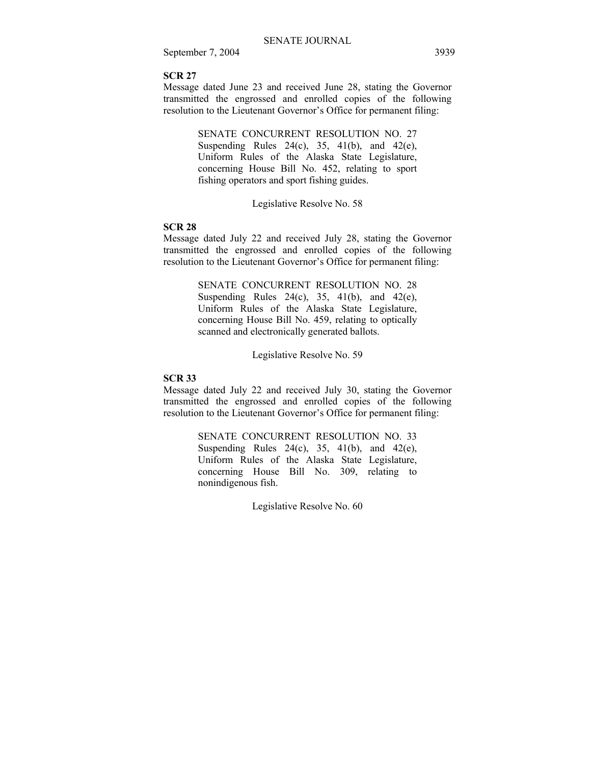## **SCR 27**

Message dated June 23 and received June 28, stating the Governor transmitted the engrossed and enrolled copies of the following resolution to the Lieutenant Governor's Office for permanent filing:

> SENATE CONCURRENT RESOLUTION NO. 27 Suspending Rules  $24(c)$ ,  $35$ ,  $41(b)$ , and  $42(e)$ , Uniform Rules of the Alaska State Legislature, concerning House Bill No. 452, relating to sport fishing operators and sport fishing guides.

> > Legislative Resolve No. 58

#### **SCR 28**

Message dated July 22 and received July 28, stating the Governor transmitted the engrossed and enrolled copies of the following resolution to the Lieutenant Governor's Office for permanent filing:

> SENATE CONCURRENT RESOLUTION NO. 28 Suspending Rules  $24(c)$ ,  $35$ ,  $41(b)$ , and  $42(e)$ , Uniform Rules of the Alaska State Legislature, concerning House Bill No. 459, relating to optically scanned and electronically generated ballots.

> > Legislative Resolve No. 59

## **SCR 33**

Message dated July 22 and received July 30, stating the Governor transmitted the engrossed and enrolled copies of the following resolution to the Lieutenant Governor's Office for permanent filing:

> SENATE CONCURRENT RESOLUTION NO. 33 Suspending Rules  $24(c)$ ,  $35$ ,  $41(b)$ , and  $42(e)$ , Uniform Rules of the Alaska State Legislature, concerning House Bill No. 309, relating to nonindigenous fish.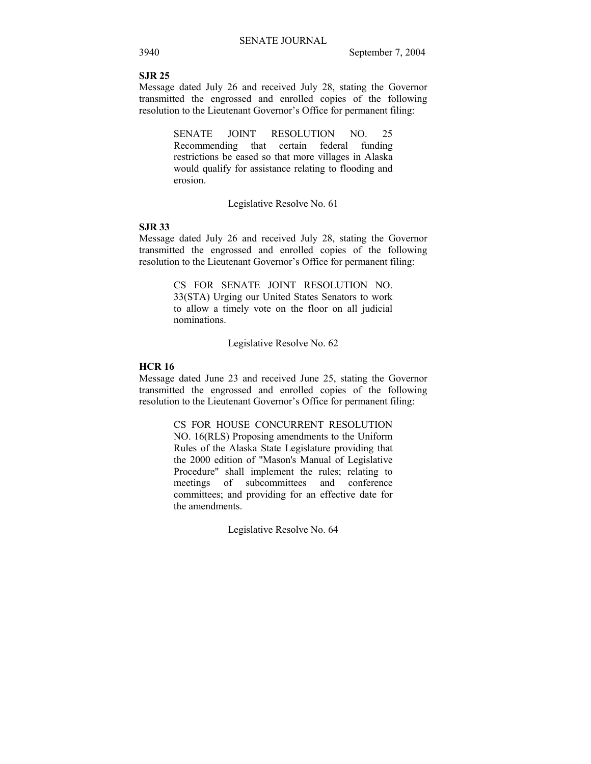## **SJR 25**

Message dated July 26 and received July 28, stating the Governor transmitted the engrossed and enrolled copies of the following resolution to the Lieutenant Governor's Office for permanent filing:

> SENATE JOINT RESOLUTION NO. 25 Recommending that certain federal funding restrictions be eased so that more villages in Alaska would qualify for assistance relating to flooding and erosion.

> > Legislative Resolve No. 61

## **SJR 33**

Message dated July 26 and received July 28, stating the Governor transmitted the engrossed and enrolled copies of the following resolution to the Lieutenant Governor's Office for permanent filing:

> CS FOR SENATE JOINT RESOLUTION NO. 33(STA) Urging our United States Senators to work to allow a timely vote on the floor on all judicial nominations.

> > Legislative Resolve No. 62

## **HCR 16**

Message dated June 23 and received June 25, stating the Governor transmitted the engrossed and enrolled copies of the following resolution to the Lieutenant Governor's Office for permanent filing:

> CS FOR HOUSE CONCURRENT RESOLUTION NO. 16(RLS) Proposing amendments to the Uniform Rules of the Alaska State Legislature providing that the 2000 edition of "Mason's Manual of Legislative Procedure" shall implement the rules; relating to meetings of subcommittees and conference committees; and providing for an effective date for the amendments.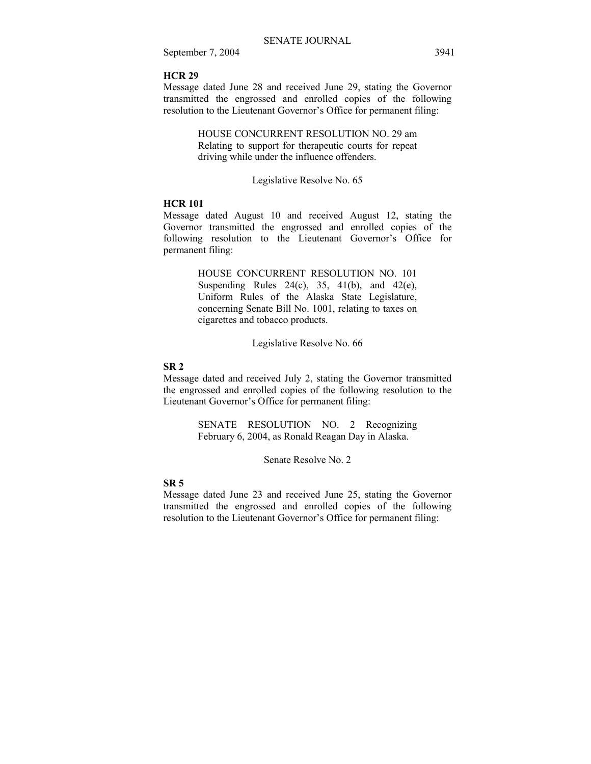## **HCR 29**

Message dated June 28 and received June 29, stating the Governor transmitted the engrossed and enrolled copies of the following resolution to the Lieutenant Governor's Office for permanent filing:

> HOUSE CONCURRENT RESOLUTION NO. 29 am Relating to support for therapeutic courts for repeat driving while under the influence offenders.

## Legislative Resolve No. 65

## **HCR 101**

Message dated August 10 and received August 12, stating the Governor transmitted the engrossed and enrolled copies of the following resolution to the Lieutenant Governor's Office for permanent filing:

> HOUSE CONCURRENT RESOLUTION NO. 101 Suspending Rules 24(c), 35, 41(b), and 42(e), Uniform Rules of the Alaska State Legislature, concerning Senate Bill No. 1001, relating to taxes on cigarettes and tobacco products.

> > Legislative Resolve No. 66

## **SR 2**

Message dated and received July 2, stating the Governor transmitted the engrossed and enrolled copies of the following resolution to the Lieutenant Governor's Office for permanent filing:

> SENATE RESOLUTION NO. 2 Recognizing February 6, 2004, as Ronald Reagan Day in Alaska.

> > Senate Resolve No. 2

## **SR 5**

Message dated June 23 and received June 25, stating the Governor transmitted the engrossed and enrolled copies of the following resolution to the Lieutenant Governor's Office for permanent filing: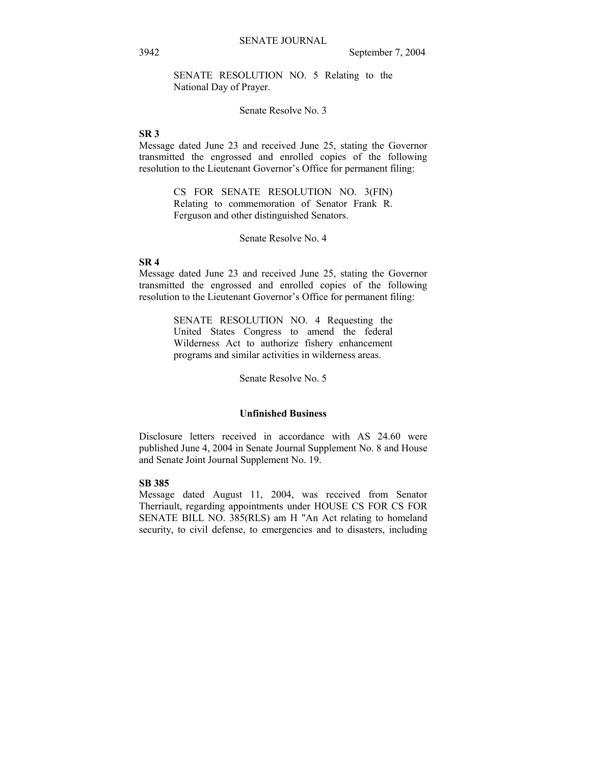SENATE RESOLUTION NO. 5 Relating to the National Day of Prayer.

Senate Resolve No. 3

## **SR 3**

Message dated June 23 and received June 25, stating the Governor transmitted the engrossed and enrolled copies of the following resolution to the Lieutenant Governor's Office for permanent filing:

> CS FOR SENATE RESOLUTION NO. 3(FIN) Relating to commemoration of Senator Frank R. Ferguson and other distinguished Senators.

> > Senate Resolve No. 4

## **SR 4**

Message dated June 23 and received June 25, stating the Governor transmitted the engrossed and enrolled copies of the following resolution to the Lieutenant Governor's Office for permanent filing:

> SENATE RESOLUTION NO. 4 Requesting the United States Congress to amend the federal Wilderness Act to authorize fishery enhancement programs and similar activities in wilderness areas.

> > Senate Resolve No. 5

## **Unfinished Business**

Disclosure letters received in accordance with AS 24.60 were published June 4, 2004 in Senate Journal Supplement No. 8 and House and Senate Joint Journal Supplement No. 19.

## **SB 385**

Message dated August 11, 2004, was received from Senator Therriault, regarding appointments under HOUSE CS FOR CS FOR SENATE BILL NO. 385(RLS) am H "An Act relating to homeland security, to civil defense, to emergencies and to disasters, including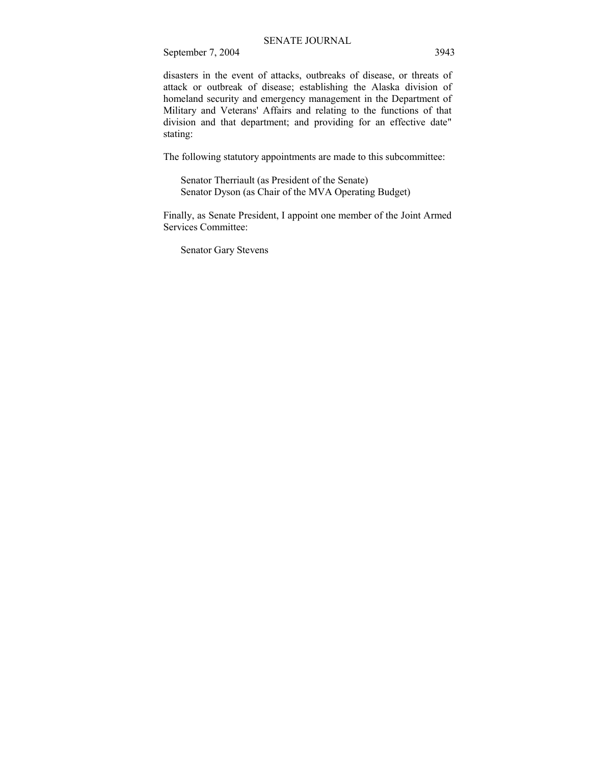disasters in the event of attacks, outbreaks of disease, or threats of attack or outbreak of disease; establishing the Alaska division of homeland security and emergency management in the Department of Military and Veterans' Affairs and relating to the functions of that division and that department; and providing for an effective date" stating:

The following statutory appointments are made to this subcommittee:

 Senator Therriault (as President of the Senate) Senator Dyson (as Chair of the MVA Operating Budget)

Finally, as Senate President, I appoint one member of the Joint Armed Services Committee:

Senator Gary Stevens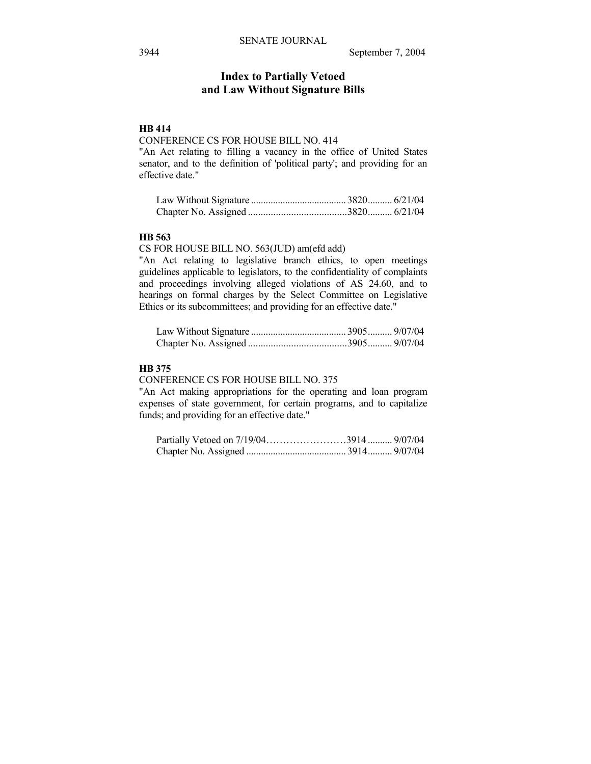## **Index to Partially Vetoed and Law Without Signature Bills**

## **HB 414**

## CONFERENCE CS FOR HOUSE BILL NO. 414

"An Act relating to filling a vacancy in the office of United States senator, and to the definition of 'political party'; and providing for an effective date."

#### **HB 563**

#### CS FOR HOUSE BILL NO. 563(JUD) am(efd add)

"An Act relating to legislative branch ethics, to open meetings guidelines applicable to legislators, to the confidentiality of complaints and proceedings involving alleged violations of AS 24.60, and to hearings on formal charges by the Select Committee on Legislative Ethics or its subcommittees; and providing for an effective date."

## **HB 375**

#### CONFERENCE CS FOR HOUSE BILL NO. 375

"An Act making appropriations for the operating and loan program expenses of state government, for certain programs, and to capitalize funds; and providing for an effective date."